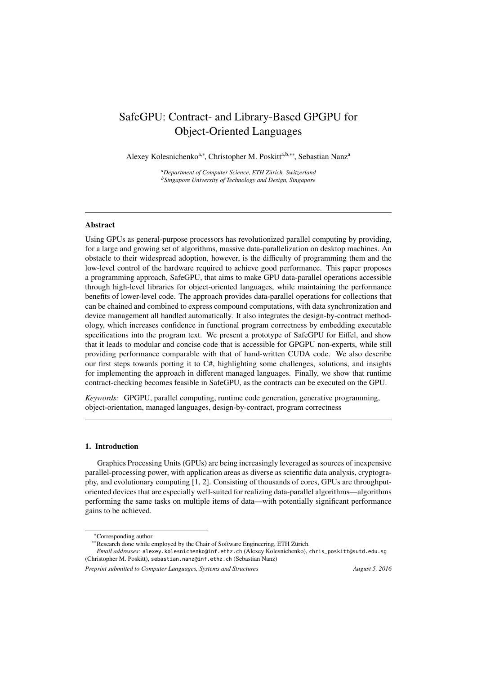# SafeGPU: Contract- and Library-Based GPGPU for Object-Oriented Languages

Alexey Kolesnichenko<sup>a,∗</sup>, Christopher M. Poskitt<sup>a,b,</sup>\*\*, Sebastian Nanz<sup>a</sup>

*<sup>a</sup>Department of Computer Science, ETH Zürich, Switzerland <sup>b</sup>Singapore University of Technology and Design, Singapore*

# Abstract

Using GPUs as general-purpose processors has revolutionized parallel computing by providing, for a large and growing set of algorithms, massive data-parallelization on desktop machines. An obstacle to their widespread adoption, however, is the difficulty of programming them and the low-level control of the hardware required to achieve good performance. This paper proposes a programming approach, SafeGPU, that aims to make GPU data-parallel operations accessible through high-level libraries for object-oriented languages, while maintaining the performance benefits of lower-level code. The approach provides data-parallel operations for collections that can be chained and combined to express compound computations, with data synchronization and device management all handled automatically. It also integrates the design-by-contract methodology, which increases confidence in functional program correctness by embedding executable specifications into the program text. We present a prototype of SafeGPU for Eiffel, and show that it leads to modular and concise code that is accessible for GPGPU non-experts, while still providing performance comparable with that of hand-written CUDA code. We also describe our first steps towards porting it to C#, highlighting some challenges, solutions, and insights for implementing the approach in different managed languages. Finally, we show that runtime contract-checking becomes feasible in SafeGPU, as the contracts can be executed on the GPU.

*Keywords:* GPGPU, parallel computing, runtime code generation, generative programming, object-orientation, managed languages, design-by-contract, program correctness

# 1. Introduction

Graphics Processing Units (GPUs) are being increasingly leveraged as sources of inexpensive parallel-processing power, with application areas as diverse as scientific data analysis, cryptography, and evolutionary computing [1, 2]. Consisting of thousands of cores, GPUs are throughputoriented devices that are especially well-suited for realizing data-parallel algorithms—algorithms performing the same tasks on multiple items of data—with potentially significant performance gains to be achieved.

*Preprint submitted to Computer Languages, Systems and Structures* August 5, 2016

<sup>∗</sup>Corresponding author

<sup>∗∗</sup>Research done while employed by the Chair of Software Engineering, ETH Zürich.

*Email addresses:* alexey.kolesnichenko@inf.ethz.ch (Alexey Kolesnichenko), chris\_poskitt@sutd.edu.sg (Christopher M. Poskitt), sebastian.nanz@inf.ethz.ch (Sebastian Nanz)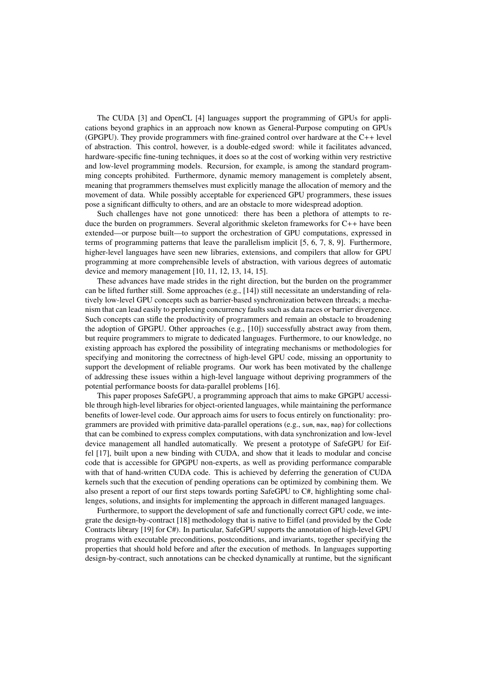The CUDA [3] and OpenCL [4] languages support the programming of GPUs for applications beyond graphics in an approach now known as General-Purpose computing on GPUs (GPGPU). They provide programmers with fine-grained control over hardware at the  $C_{++}$  level of abstraction. This control, however, is a double-edged sword: while it facilitates advanced, hardware-specific fine-tuning techniques, it does so at the cost of working within very restrictive and low-level programming models. Recursion, for example, is among the standard programming concepts prohibited. Furthermore, dynamic memory management is completely absent, meaning that programmers themselves must explicitly manage the allocation of memory and the movement of data. While possibly acceptable for experienced GPU programmers, these issues pose a significant difficulty to others, and are an obstacle to more widespread adoption.

Such challenges have not gone unnoticed: there has been a plethora of attempts to reduce the burden on programmers. Several algorithmic skeleton frameworks for C++ have been extended—or purpose built—to support the orchestration of GPU computations, expressed in terms of programming patterns that leave the parallelism implicit [5, 6, 7, 8, 9]. Furthermore, higher-level languages have seen new libraries, extensions, and compilers that allow for GPU programming at more comprehensible levels of abstraction, with various degrees of automatic device and memory management [10, 11, 12, 13, 14, 15].

These advances have made strides in the right direction, but the burden on the programmer can be lifted further still. Some approaches (e.g., [14]) still necessitate an understanding of relatively low-level GPU concepts such as barrier-based synchronization between threads; a mechanism that can lead easily to perplexing concurrency faults such as data races or barrier divergence. Such concepts can stifle the productivity of programmers and remain an obstacle to broadening the adoption of GPGPU. Other approaches (e.g., [10]) successfully abstract away from them, but require programmers to migrate to dedicated languages. Furthermore, to our knowledge, no existing approach has explored the possibility of integrating mechanisms or methodologies for specifying and monitoring the correctness of high-level GPU code, missing an opportunity to support the development of reliable programs. Our work has been motivated by the challenge of addressing these issues within a high-level language without depriving programmers of the potential performance boosts for data-parallel problems [16].

This paper proposes SafeGPU, a programming approach that aims to make GPGPU accessible through high-level libraries for object-oriented languages, while maintaining the performance benefits of lower-level code. Our approach aims for users to focus entirely on functionality: programmers are provided with primitive data-parallel operations (e.g., sum, max, map) for collections that can be combined to express complex computations, with data synchronization and low-level device management all handled automatically. We present a prototype of SafeGPU for Eiffel [17], built upon a new binding with CUDA, and show that it leads to modular and concise code that is accessible for GPGPU non-experts, as well as providing performance comparable with that of hand-written CUDA code. This is achieved by deferring the generation of CUDA kernels such that the execution of pending operations can be optimized by combining them. We also present a report of our first steps towards porting SafeGPU to C#, highlighting some challenges, solutions, and insights for implementing the approach in different managed languages.

Furthermore, to support the development of safe and functionally correct GPU code, we integrate the design-by-contract [18] methodology that is native to Eiffel (and provided by the Code Contracts library [19] for C#). In particular, SafeGPU supports the annotation of high-level GPU programs with executable preconditions, postconditions, and invariants, together specifying the properties that should hold before and after the execution of methods. In languages supporting design-by-contract, such annotations can be checked dynamically at runtime, but the significant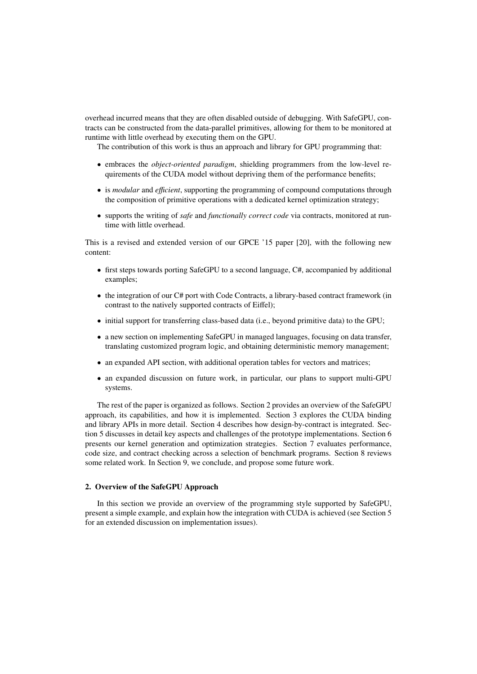overhead incurred means that they are often disabled outside of debugging. With SafeGPU, contracts can be constructed from the data-parallel primitives, allowing for them to be monitored at runtime with little overhead by executing them on the GPU.

The contribution of this work is thus an approach and library for GPU programming that:

- embraces the *object-oriented paradigm*, shielding programmers from the low-level requirements of the CUDA model without depriving them of the performance benefits;
- is *modular* and *efficient*, supporting the programming of compound computations through the composition of primitive operations with a dedicated kernel optimization strategy;
- supports the writing of *safe* and *functionally correct code* via contracts, monitored at runtime with little overhead.

This is a revised and extended version of our GPCE '15 paper [20], with the following new content:

- first steps towards porting SafeGPU to a second language, C#, accompanied by additional examples;
- the integration of our C# port with Code Contracts, a library-based contract framework (in contrast to the natively supported contracts of Eiffel);
- initial support for transferring class-based data (i.e., beyond primitive data) to the GPU;
- a new section on implementing SafeGPU in managed languages, focusing on data transfer, translating customized program logic, and obtaining deterministic memory management;
- an expanded API section, with additional operation tables for vectors and matrices;
- an expanded discussion on future work, in particular, our plans to support multi-GPU systems.

The rest of the paper is organized as follows. Section 2 provides an overview of the SafeGPU approach, its capabilities, and how it is implemented. Section 3 explores the CUDA binding and library APIs in more detail. Section 4 describes how design-by-contract is integrated. Section 5 discusses in detail key aspects and challenges of the prototype implementations. Section 6 presents our kernel generation and optimization strategies. Section 7 evaluates performance, code size, and contract checking across a selection of benchmark programs. Section 8 reviews some related work. In Section 9, we conclude, and propose some future work.

# 2. Overview of the SafeGPU Approach

In this section we provide an overview of the programming style supported by SafeGPU, present a simple example, and explain how the integration with CUDA is achieved (see Section 5 for an extended discussion on implementation issues).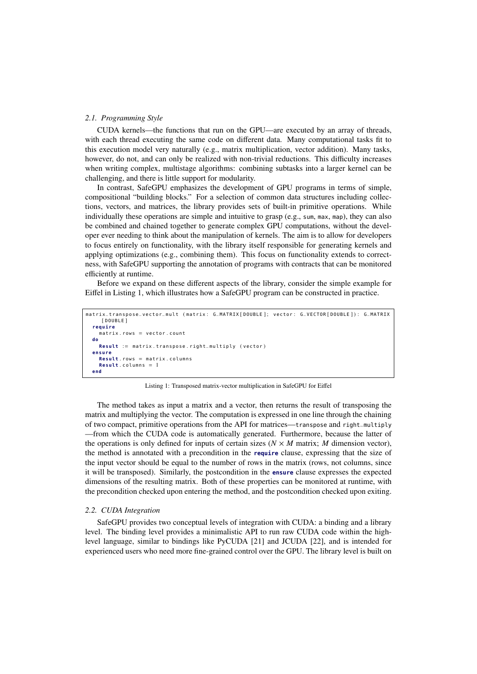# *2.1. Programming Style*

CUDA kernels—the functions that run on the GPU—are executed by an array of threads, with each thread executing the same code on different data. Many computational tasks fit to this execution model very naturally (e.g., matrix multiplication, vector addition). Many tasks, however, do not, and can only be realized with non-trivial reductions. This difficulty increases when writing complex, multistage algorithms: combining subtasks into a larger kernel can be challenging, and there is little support for modularity.

In contrast, SafeGPU emphasizes the development of GPU programs in terms of simple, compositional "building blocks." For a selection of common data structures including collections, vectors, and matrices, the library provides sets of built-in primitive operations. While individually these operations are simple and intuitive to grasp (e.g., sum, max, map), they can also be combined and chained together to generate complex GPU computations, without the developer ever needing to think about the manipulation of kernels. The aim is to allow for developers to focus entirely on functionality, with the library itself responsible for generating kernels and applying optimizations (e.g., combining them). This focus on functionality extends to correctness, with SafeGPU supporting the annotation of programs with contracts that can be monitored efficiently at runtime.

Before we expand on these different aspects of the library, consider the simple example for Eiffel in Listing 1, which illustrates how a SafeGPU program can be constructed in practice.

```
matrix_transpose_vector_mult (matrix: G_MATRIX[DOUBLE]; vector: G_VECTOR[DOUBLE]): G_MATRIX
    [ DOUBLE ]
 r e q u i r e
    matrix \, rows = vector \, countdo
    Result := matrix . transpose . right_multiply (vector)
 ensure
    Result . rows = matrix . columns
    . columns = 1
 end
```
Listing 1: Transposed matrix-vector multiplication in SafeGPU for Eiffel

The method takes as input a matrix and a vector, then returns the result of transposing the matrix and multiplying the vector. The computation is expressed in one line through the chaining of two compact, primitive operations from the API for matrices—transpose and right\_multiply —from which the CUDA code is automatically generated. Furthermore, because the latter of the operations is only defined for inputs of certain sizes ( $N \times M$  matrix; *M* dimension vector), the method is annotated with a precondition in the **require** clause, expressing that the size of the input vector should be equal to the number of rows in the matrix (rows, not columns, since it will be transposed). Similarly, the postcondition in the **ensure** clause expresses the expected dimensions of the resulting matrix. Both of these properties can be monitored at runtime, with the precondition checked upon entering the method, and the postcondition checked upon exiting.

# *2.2. CUDA Integration*

SafeGPU provides two conceptual levels of integration with CUDA: a binding and a library level. The binding level provides a minimalistic API to run raw CUDA code within the highlevel language, similar to bindings like PyCUDA [21] and JCUDA [22], and is intended for experienced users who need more fine-grained control over the GPU. The library level is built on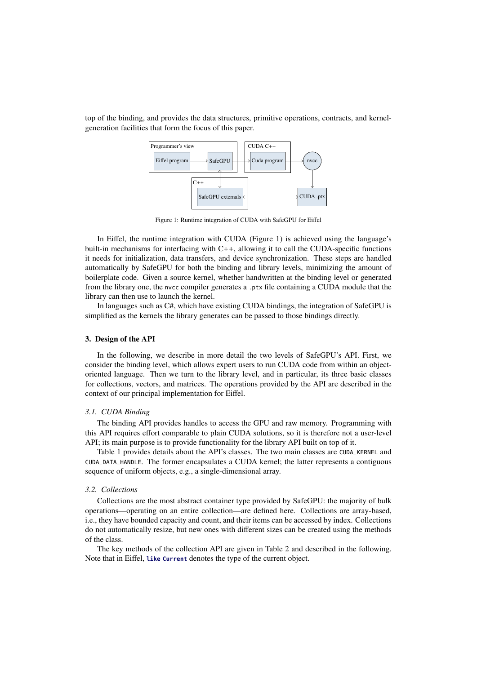top of the binding, and provides the data structures, primitive operations, contracts, and kernelgeneration facilities that form the focus of this paper.



Figure 1: Runtime integration of CUDA with SafeGPU for Eiffel

In Eiffel, the runtime integration with CUDA (Figure 1) is achieved using the language's built-in mechanisms for interfacing with C++, allowing it to call the CUDA-specific functions it needs for initialization, data transfers, and device synchronization. These steps are handled automatically by SafeGPU for both the binding and library levels, minimizing the amount of boilerplate code. Given a source kernel, whether handwritten at the binding level or generated from the library one, the nvcc compiler generates a .ptx file containing a CUDA module that the library can then use to launch the kernel.

In languages such as C#, which have existing CUDA bindings, the integration of SafeGPU is simplified as the kernels the library generates can be passed to those bindings directly.

### 3. Design of the API

In the following, we describe in more detail the two levels of SafeGPU's API. First, we consider the binding level, which allows expert users to run CUDA code from within an objectoriented language. Then we turn to the library level, and in particular, its three basic classes for collections, vectors, and matrices. The operations provided by the API are described in the context of our principal implementation for Eiffel.

#### *3.1. CUDA Binding*

The binding API provides handles to access the GPU and raw memory. Programming with this API requires effort comparable to plain CUDA solutions, so it is therefore not a user-level API; its main purpose is to provide functionality for the library API built on top of it.

Table 1 provides details about the API's classes. The two main classes are CUDA\_KERNEL and CUDA\_DATA\_HANDLE. The former encapsulates a CUDA kernel; the latter represents a contiguous sequence of uniform objects, e.g., a single-dimensional array.

# *3.2. Collections*

Collections are the most abstract container type provided by SafeGPU: the majority of bulk operations—operating on an entire collection—are defined here. Collections are array-based, i.e., they have bounded capacity and count, and their items can be accessed by index. Collections do not automatically resize, but new ones with different sizes can be created using the methods of the class.

The key methods of the collection API are given in Table 2 and described in the following. Note that in Eiffel, **like Current** denotes the type of the current object.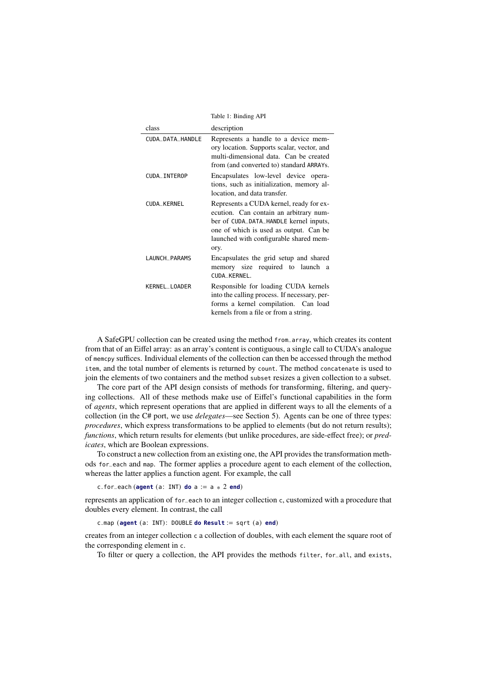Table 1: Binding API

| class              | description                                                                                                                                                                                                             |
|--------------------|-------------------------------------------------------------------------------------------------------------------------------------------------------------------------------------------------------------------------|
| CUDA_DATA_HANDLE   | Represents a handle to a device mem-<br>ory location. Supports scalar, vector, and<br>multi-dimensional data. Can be created<br>from (and converted to) standard ARRAYS.                                                |
| CUDA INTEROP       | Encapsulates low-level device opera-<br>tions, such as initialization, memory al-<br>location, and data transfer.                                                                                                       |
| <b>CUDA_KERNEL</b> | Represents a CUDA kernel, ready for ex-<br>ecution. Can contain an arbitrary num-<br>ber of CUDA_DATA_HANDLE kernel inputs,<br>one of which is used as output. Can be<br>launched with configurable shared mem-<br>ory. |
| LAUNCH_PARAMS      | Encapsulates the grid setup and shared<br>memory size required to launch a<br>CUDA_KERNEL.                                                                                                                              |
| KERNEL_LOADER      | Responsible for loading CUDA kernels<br>into the calling process. If necessary, per-<br>forms a kernel compilation. Can load<br>kernels from a file or from a string.                                                   |

A SafeGPU collection can be created using the method from\_array, which creates its content from that of an Eiffel array: as an array's content is contiguous, a single call to CUDA's analogue of memcpy suffices. Individual elements of the collection can then be accessed through the method item, and the total number of elements is returned by count. The method concatenate is used to join the elements of two containers and the method subset resizes a given collection to a subset.

The core part of the API design consists of methods for transforming, filtering, and querying collections. All of these methods make use of Eiffel's functional capabilities in the form of *agents*, which represent operations that are applied in different ways to all the elements of a collection (in the C# port, we use *delegates*—see Section 5). Agents can be one of three types: *procedures*, which express transformations to be applied to elements (but do not return results); *functions*, which return results for elements (but unlike procedures, are side-effect free); or *predicates*, which are Boolean expressions.

To construct a new collection from an existing one, the API provides the transformation methods for\_each and map. The former applies a procedure agent to each element of the collection, whereas the latter applies a function agent. For example, the call

<sup>c</sup>.for\_each (**agent** (a: INT) **do** <sup>a</sup> := <sup>a</sup> \* 2 **end**)

represents an application of for\_each to an integer collection c, customized with a procedure that doubles every element. In contrast, the call

c.map (**agent** (a: INT): DOUBLE **do Result** := sqrt (a) **end**)

creates from an integer collection c a collection of doubles, with each element the square root of the corresponding element in c.

To filter or query a collection, the API provides the methods filter, for\_all, and exists,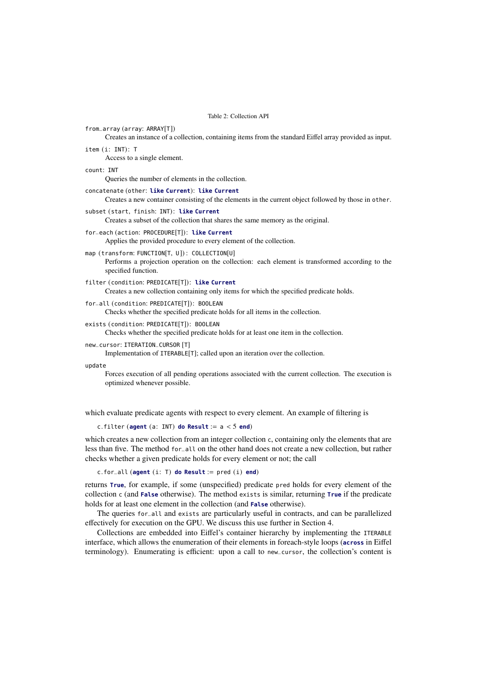Table 2: Collection API

| Table 2. Concentium AFT                                                                                                                                                  |
|--------------------------------------------------------------------------------------------------------------------------------------------------------------------------|
| from_array (array: ARRAY[T])<br>Creates an instance of a collection, containing items from the standard Eiffel array provided as input.                                  |
| item (i: INT): T<br>Access to a single element.                                                                                                                          |
| count: INT<br>Queries the number of elements in the collection.                                                                                                          |
| concatenate (other: like Current): like Current<br>Creates a new container consisting of the elements in the current object followed by those in other.                  |
| subset (start, finish: INT): like Current<br>Creates a subset of the collection that shares the same memory as the original.                                             |
| for_each (action: PROCEDURE[T]): like Current<br>Applies the provided procedure to every element of the collection.                                                      |
| map (transform: FUNCTION[T, U]): COLLECTION[U]<br>Performs a projection operation on the collection: each element is transformed according to the<br>specified function. |
| filter (condition: PREDICATE[T]): like Current<br>Creates a new collection containing only items for which the specified predicate holds.                                |
| for_all (condition: PREDICATE[T]): BOOLEAN<br>Checks whether the specified predicate holds for all items in the collection.                                              |
| exists (condition: PREDICATE[T]): BOOLEAN<br>Checks whether the specified predicate holds for at least one item in the collection.                                       |
| new_cursor: ITERATION_CURSOR [T]<br>Implementation of ITERABLE[T]; called upon an iteration over the collection.                                                         |
| update<br>Forces execution of all pending operations associated with the current collection. The execution is<br>optimized whenever possible.                            |

which evaluate predicate agents with respect to every element. An example of filtering is

c.filter (**agent** (a: INT) **do Result** :=  $a < 5$  **end**)

which creates a new collection from an integer collection c, containing only the elements that are less than five. The method for\_all on the other hand does not create a new collection, but rather checks whether a given predicate holds for every element or not; the call

c.for\_all (**agent** (i: T) **do Result** := pred (i) **end**)

returns **True**, for example, if some (unspecified) predicate pred holds for every element of the collection c (and **False** otherwise). The method exists is similar, returning **True** if the predicate holds for at least one element in the collection (and **False** otherwise).

The queries for\_all and exists are particularly useful in contracts, and can be parallelized effectively for execution on the GPU. We discuss this use further in Section 4.

Collections are embedded into Eiffel's container hierarchy by implementing the ITERABLE interface, which allows the enumeration of their elements in foreach-style loops (**across** in Eiffel terminology). Enumerating is efficient: upon a call to new\_cursor, the collection's content is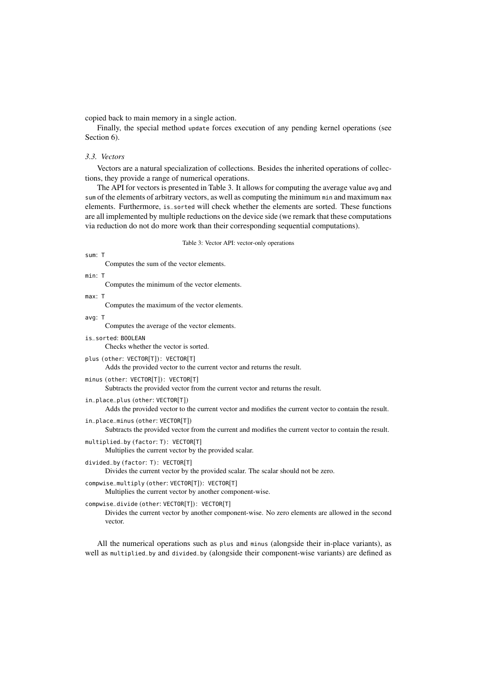copied back to main memory in a single action.

Finally, the special method update forces execution of any pending kernel operations (see Section 6).

# *3.3. Vectors*

Vectors are a natural specialization of collections. Besides the inherited operations of collections, they provide a range of numerical operations.

The API for vectors is presented in Table 3. It allows for computing the average value avg and sum of the elements of arbitrary vectors, as well as computing the minimum min and maximum max elements. Furthermore, is\_sorted will check whether the elements are sorted. These functions are all implemented by multiple reductions on the device side (we remark that these computations via reduction do not do more work than their corresponding sequential computations).

Table 3: Vector API: vector-only operations

```
sum: T
```
Computes the sum of the vector elements.

min: T

Computes the minimum of the vector elements.

max: T

Computes the maximum of the vector elements.

avg: T

Computes the average of the vector elements.

is\_sorted: BOOLEAN

Checks whether the vector is sorted.

plus (other: VECTOR[T]): VECTOR[T]

Adds the provided vector to the current vector and returns the result.

minus (other: VECTOR[T]) : VECTOR[T]

Subtracts the provided vector from the current vector and returns the result.

in\_place\_plus (other: VECTOR[T])

Adds the provided vector to the current vector and modifies the current vector to contain the result.

in\_place\_minus (other: VECTOR[T])

Subtracts the provided vector from the current and modifies the current vector to contain the result.

- multiplied\_by (factor: T): VECTOR[T] Multiplies the current vector by the provided scalar.
- divided\_by (factor: T): VECTOR[T]

Divides the current vector by the provided scalar. The scalar should not be zero.

compwise\_multiply (other: VECTOR[T]): VECTOR[T]

Multiplies the current vector by another component-wise.

compwise\_divide (other: VECTOR[T]): VECTOR[T]

Divides the current vector by another component-wise. No zero elements are allowed in the second vector.

All the numerical operations such as plus and minus (alongside their in-place variants), as well as multiplied\_by and divided\_by (alongside their component-wise variants) are defined as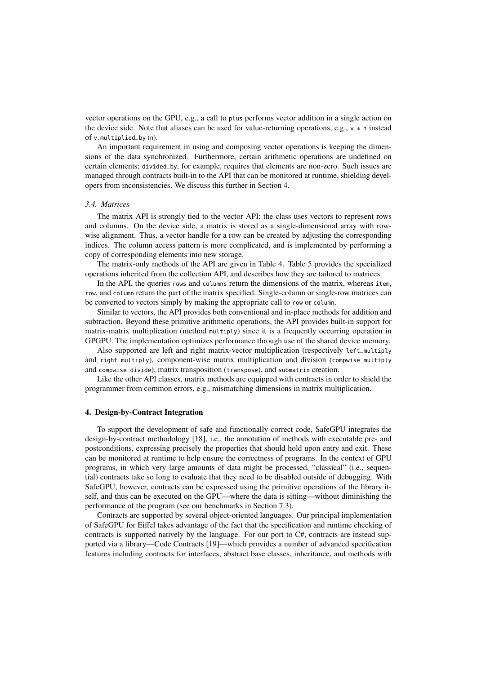vector operations on the GPU, e.g., a call to plus performs vector addition in a single action on the device side. Note that aliases can be used for value-returning operations, e.g., <sup>v</sup> \* n instead of v.multiplied\_by (n).

An important requirement in using and composing vector operations is keeping the dimensions of the data synchronized. Furthermore, certain arithmetic operations are undefined on certain elements; divided\_by, for example, requires that elements are non-zero. Such issues are managed through contracts built-in to the API that can be monitored at runtime, shielding developers from inconsistencies. We discuss this further in Section 4.

# *3.4. Matrices*

The matrix API is strongly tied to the vector API: the class uses vectors to represent rows and columns. On the device side, a matrix is stored as a single-dimensional array with rowwise alignment. Thus, a vector handle for a row can be created by adjusting the corresponding indices. The column access pattern is more complicated, and is implemented by performing a copy of corresponding elements into new storage.

The matrix-only methods of the API are given in Table 4. Table 5 provides the specialized operations inherited from the collection API, and describes how they are tailored to matrices.

In the API, the queries rows and columns return the dimensions of the matrix, whereas item, row, and column return the part of the matrix specified. Single-column or single-row matrices can be converted to vectors simply by making the appropriate call to row or column.

Similar to vectors, the API provides both conventional and in-place methods for addition and subtraction. Beyond these primitive arithmetic operations, the API provides built-in support for matrix-matrix multiplication (method multiply) since it is a frequently occurring operation in GPGPU. The implementation optimizes performance through use of the shared device memory.

Also supported are left and right matrix-vector multiplication (respectively left\_multiply and right\_multiply), component-wise matrix multiplication and division (compwise\_multiply and compwise\_divide), matrix transposition (transpose), and submatrix creation.

Like the other API classes, matrix methods are equipped with contracts in order to shield the programmer from common errors, e.g., mismatching dimensions in matrix multiplication.

#### 4. Design-by-Contract Integration

To support the development of safe and functionally correct code, SafeGPU integrates the design-by-contract methodology [18], i.e., the annotation of methods with executable pre- and postconditions, expressing precisely the properties that should hold upon entry and exit. These can be monitored at runtime to help ensure the correctness of programs. In the context of GPU programs, in which very large amounts of data might be processed, "classical" (i.e., sequential) contracts take so long to evaluate that they need to be disabled outside of debugging. With SafeGPU, however, contracts can be expressed using the primitive operations of the library itself, and thus can be executed on the GPU—where the data is sitting—without diminishing the performance of the program (see our benchmarks in Section 7.3).

Contracts are supported by several object-oriented languages. Our principal implementation of SafeGPU for Eiffel takes advantage of the fact that the specification and runtime checking of contracts is supported natively by the language. For our port to C#, contracts are instead supported via a library—Code Contracts [19]—which provides a number of advanced specification features including contracts for interfaces, abstract base classes, inheritance, and methods with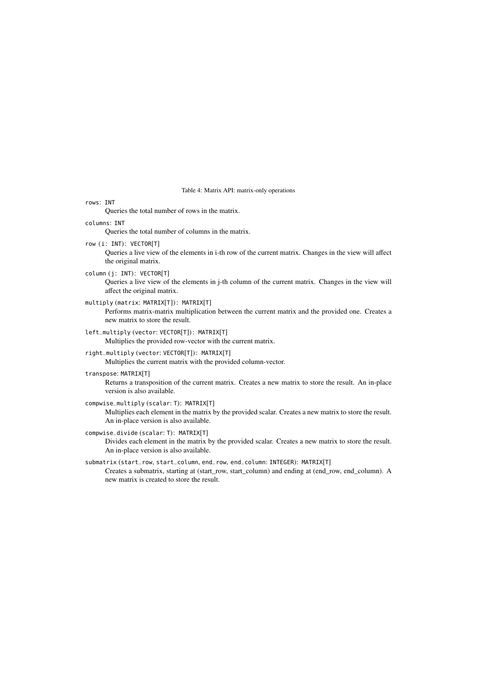Table 4: Matrix API: matrix-only operations

#### rows: INT

Queries the total number of rows in the matrix.

columns: INT

Queries the total number of columns in the matrix.

row (i: INT): VECTOR[T]

Queries a live view of the elements in i-th row of the current matrix. Changes in the view will affect the original matrix.

column (j: INT): VECTOR[T]

Queries a live view of the elements in j-th column of the current matrix. Changes in the view will affect the original matrix.

multiply (matrix: MATRIX[T]) : MATRIX[T]

Performs matrix-matrix multiplication between the current matrix and the provided one. Creates a new matrix to store the result.

left\_multiply (vector: VECTOR[T]): MATRIX[T]

Multiplies the provided row-vector with the current matrix.

# right\_multiply (vector: VECTOR[T]): MATRIX[T]

Multiplies the current matrix with the provided column-vector.

transpose: MATRIX[T]

Returns a transposition of the current matrix. Creates a new matrix to store the result. An in-place version is also available.

compwise\_multiply (scalar: T): MATRIX[T]

Multiplies each element in the matrix by the provided scalar. Creates a new matrix to store the result. An in-place version is also available.

compwise\_divide (scalar: T): MATRIX[T]

Divides each element in the matrix by the provided scalar. Creates a new matrix to store the result. An in-place version is also available.

submatrix (start\_row, start\_column, end\_row, end\_column: INTEGER): MATRIX[T] Creates a submatrix, starting at (start\_row, start\_column) and ending at (end\_row, end\_column). A new matrix is created to store the result.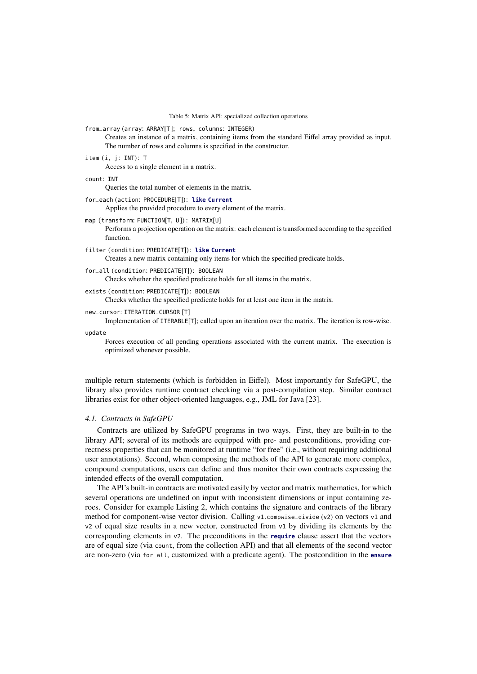Table 5: Matrix API: specialized collection operations

from\_array (array: ARRAY[T]; rows, columns: INTEGER)

Creates an instance of a matrix, containing items from the standard Eiffel array provided as input. The number of rows and columns is specified in the constructor.

item (i, j: INT): T

Access to a single element in a matrix.

count: INT

Queries the total number of elements in the matrix.

for\_each (action: PROCEDURE[T]): **like Current** Applies the provided procedure to every element of the matrix.

#### map (transform: FUNCTION[T, U]) : MATRIX[U]

Performs a projection operation on the matrix: each element is transformed according to the specified function.

filter (condition: PREDICATE[T]): **like Current**

Creates a new matrix containing only items for which the specified predicate holds.

for\_all (condition: PREDICATE[T]): BOOLEAN

Checks whether the specified predicate holds for all items in the matrix.

exists (condition: PREDICATE[T]): BOOLEAN

Checks whether the specified predicate holds for at least one item in the matrix.

new\_cursor: ITERATION\_CURSOR [T]

Implementation of ITERABLE[T]; called upon an iteration over the matrix. The iteration is row-wise. update

Forces execution of all pending operations associated with the current matrix. The execution is optimized whenever possible.

multiple return statements (which is forbidden in Eiffel). Most importantly for SafeGPU, the library also provides runtime contract checking via a post-compilation step. Similar contract libraries exist for other object-oriented languages, e.g., JML for Java [23].

# *4.1. Contracts in SafeGPU*

Contracts are utilized by SafeGPU programs in two ways. First, they are built-in to the library API; several of its methods are equipped with pre- and postconditions, providing correctness properties that can be monitored at runtime "for free" (i.e., without requiring additional user annotations). Second, when composing the methods of the API to generate more complex, compound computations, users can define and thus monitor their own contracts expressing the intended effects of the overall computation.

The API's built-in contracts are motivated easily by vector and matrix mathematics, for which several operations are undefined on input with inconsistent dimensions or input containing zeroes. Consider for example Listing 2, which contains the signature and contracts of the library method for component-wise vector division. Calling v1.compwise\_divide (v2) on vectors v1 and v2 of equal size results in a new vector, constructed from v1 by dividing its elements by the corresponding elements in v2. The preconditions in the **require** clause assert that the vectors are of equal size (via count, from the collection API) and that all elements of the second vector are non-zero (via for\_all, customized with a predicate agent). The postcondition in the **ensure**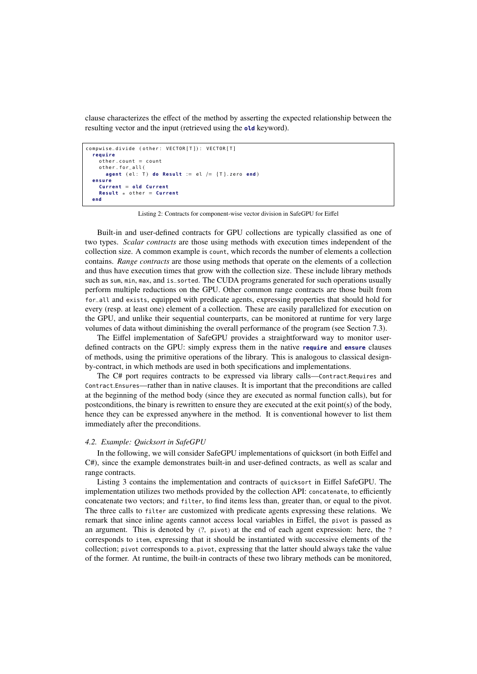clause characterizes the effect of the method by asserting the expected relationship between the resulting vector and the input (retrieved using the **old** keyword).

```
compwise_divide (other: VECTOR[T]): VECTOR[T]
 r e q u i r e
    other.count = count
    other.for_all(
      agent (el: T) do Result := el \neq {T}. zero end)
 ensure
   Current = old CurrentResult * other = Current
 end
```
Listing 2: Contracts for component-wise vector division in SafeGPU for Eiffel

Built-in and user-defined contracts for GPU collections are typically classified as one of two types. *Scalar contracts* are those using methods with execution times independent of the collection size. A common example is count, which records the number of elements a collection contains. *Range contracts* are those using methods that operate on the elements of a collection and thus have execution times that grow with the collection size. These include library methods such as sum, min, max, and is\_sorted. The CUDA programs generated for such operations usually perform multiple reductions on the GPU. Other common range contracts are those built from for\_all and exists, equipped with predicate agents, expressing properties that should hold for every (resp. at least one) element of a collection. These are easily parallelized for execution on the GPU, and unlike their sequential counterparts, can be monitored at runtime for very large volumes of data without diminishing the overall performance of the program (see Section 7.3).

The Eiffel implementation of SafeGPU provides a straightforward way to monitor userdefined contracts on the GPU: simply express them in the native **require** and **ensure** clauses of methods, using the primitive operations of the library. This is analogous to classical designby-contract, in which methods are used in both specifications and implementations.

The C# port requires contracts to be expressed via library calls—Contract.Requires and Contract.Ensures—rather than in native clauses. It is important that the preconditions are called at the beginning of the method body (since they are executed as normal function calls), but for postconditions, the binary is rewritten to ensure they are executed at the exit point(s) of the body, hence they can be expressed anywhere in the method. It is conventional however to list them immediately after the preconditions.

#### *4.2. Example: Quicksort in SafeGPU*

In the following, we will consider SafeGPU implementations of quicksort (in both Eiffel and C#), since the example demonstrates built-in and user-defined contracts, as well as scalar and range contracts.

Listing 3 contains the implementation and contracts of quicksort in Eiffel SafeGPU. The implementation utilizes two methods provided by the collection API: concatenate, to efficiently concatenate two vectors; and filter, to find items less than, greater than, or equal to the pivot. The three calls to filter are customized with predicate agents expressing these relations. We remark that since inline agents cannot access local variables in Eiffel, the pivot is passed as an argument. This is denoted by (?, pivot) at the end of each agent expression: here, the ? corresponds to item, expressing that it should be instantiated with successive elements of the collection; pivot corresponds to a\_pivot, expressing that the latter should always take the value of the former. At runtime, the built-in contracts of these two library methods can be monitored,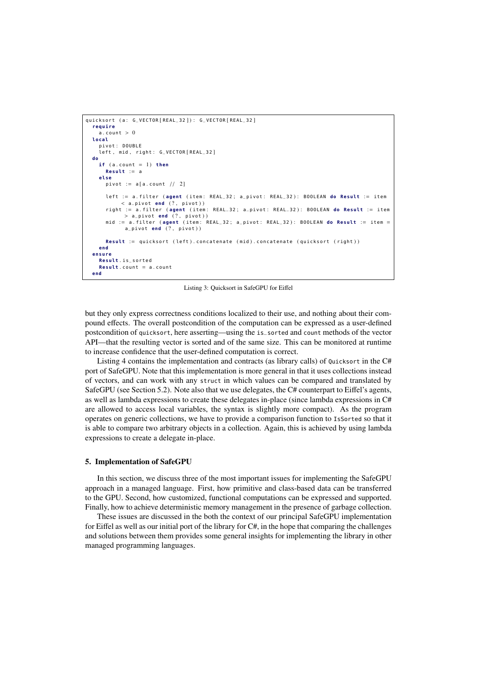```
quicksort (a: G_VECTOR [REAL_32]): G_VECTOR [REAL_32]
 r e q u i r e
   a. count > 0local
    pivot : DOUBLE
    left, mid, right: G_VECTOR[REAL_32]
 do
    if (a.count = 1) thenResult := a
    else
      pivot := a[a.count // 2]left := a. filter (agent (item: REAL_32; a_pivot: REAL_32): BOOLEAN do Result := item
           < a_pivot end (?, pivot))
      right := a . filter (agent (item: REAL_32; a_pivot: REAL_32): BOOLEAN do Result := item
            > a<sub>-</sub>pivot end ( ? , pivot)mid := a.filter (agent (item: REAL_32; a_pivot: REAL_32): BOOLEAN do Result := item =
            a<sub>-</sub>pivot end ( ?, pivot))
      Result := quicksort (left).concatenate (mid).concatenate (quicksort (right))
   end
 ensure
    Result is sorted
    Result . count = a . count
 end
```
Listing 3: Quicksort in SafeGPU for Eiffel

but they only express correctness conditions localized to their use, and nothing about their compound effects. The overall postcondition of the computation can be expressed as a user-defined postcondition of quicksort, here asserting—using the is\_sorted and count methods of the vector API—that the resulting vector is sorted and of the same size. This can be monitored at runtime to increase confidence that the user-defined computation is correct.

Listing 4 contains the implementation and contracts (as library calls) of Quicksort in the C# port of SafeGPU. Note that this implementation is more general in that it uses collections instead of vectors, and can work with any struct in which values can be compared and translated by SafeGPU (see Section 5.2). Note also that we use delegates, the C# counterpart to Eiffel's agents, as well as lambda expressions to create these delegates in-place (since lambda expressions in C# are allowed to access local variables, the syntax is slightly more compact). As the program operates on generic collections, we have to provide a comparison function to IsSorted so that it is able to compare two arbitrary objects in a collection. Again, this is achieved by using lambda expressions to create a delegate in-place.

### 5. Implementation of SafeGPU

In this section, we discuss three of the most important issues for implementing the SafeGPU approach in a managed language. First, how primitive and class-based data can be transferred to the GPU. Second, how customized, functional computations can be expressed and supported. Finally, how to achieve deterministic memory management in the presence of garbage collection.

These issues are discussed in the both the context of our principal SafeGPU implementation for Eiffel as well as our initial port of the library for C#, in the hope that comparing the challenges and solutions between them provides some general insights for implementing the library in other managed programming languages.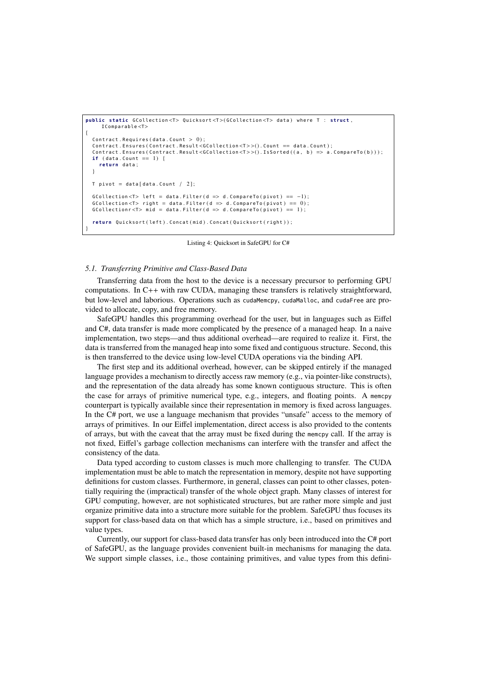```
public static GCollection <T> Quicksort <T>( GCollection <T> data ) where T : struct ,
     IComparable <T>
{
  Contract. Requires (data. Count > 0);
  Contract. Enઘ <i>(Contract. Result <i>Ge="Gollection</i> <math>\langle T \rangle</math>) . Count == data. Count);\text{Contract.} Ensures(\text{Contract.} Result<GCollection<T>>(). Is Sorted((a, b) \Rightarrow a. CompareTo(b)));
  if (data. Count == 1)return data ;
  }
 T pivot = data [data . Count / 2];
  GCollection < T> left = data. Filter (d => d. CompareTo (pivot) == -1);
  GCollection (T> right = data. Filter (d => d. CompareTo (pivot) == 0);
  GCollectionr < T > mid = data . Filter (d = > d . Compare To (pivot ) = = 1) ;
  return Ouicksort (left). Concat (mid). Concat (Ouicksort (right)) ;
}
```
Listing 4: Quicksort in SafeGPU for C#

#### *5.1. Transferring Primitive and Class-Based Data*

Transferring data from the host to the device is a necessary precursor to performing GPU computations. In C++ with raw CUDA, managing these transfers is relatively straightforward, but low-level and laborious. Operations such as cudaMemcpy, cudaMalloc, and cudaFree are provided to allocate, copy, and free memory.

SafeGPU handles this programming overhead for the user, but in languages such as Eiffel and C#, data transfer is made more complicated by the presence of a managed heap. In a naive implementation, two steps—and thus additional overhead—are required to realize it. First, the data is transferred from the managed heap into some fixed and contiguous structure. Second, this is then transferred to the device using low-level CUDA operations via the binding API.

The first step and its additional overhead, however, can be skipped entirely if the managed language provides a mechanism to directly access raw memory (e.g., via pointer-like constructs), and the representation of the data already has some known contiguous structure. This is often the case for arrays of primitive numerical type, e.g., integers, and floating points. A memcpy counterpart is typically available since their representation in memory is fixed across languages. In the C# port, we use a language mechanism that provides "unsafe" access to the memory of arrays of primitives. In our Eiffel implementation, direct access is also provided to the contents of arrays, but with the caveat that the array must be fixed during the memcpy call. If the array is not fixed, Eiffel's garbage collection mechanisms can interfere with the transfer and affect the consistency of the data.

Data typed according to custom classes is much more challenging to transfer. The CUDA implementation must be able to match the representation in memory, despite not have supporting definitions for custom classes. Furthermore, in general, classes can point to other classes, potentially requiring the (impractical) transfer of the whole object graph. Many classes of interest for GPU computing, however, are not sophisticated structures, but are rather more simple and just organize primitive data into a structure more suitable for the problem. SafeGPU thus focuses its support for class-based data on that which has a simple structure, i.e., based on primitives and value types.

Currently, our support for class-based data transfer has only been introduced into the C# port of SafeGPU, as the language provides convenient built-in mechanisms for managing the data. We support simple classes, i.e., those containing primitives, and value types from this defini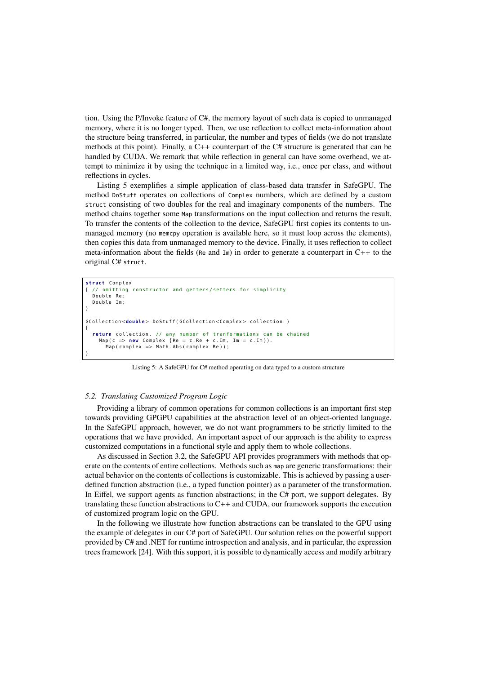tion. Using the P/Invoke feature of C#, the memory layout of such data is copied to unmanaged memory, where it is no longer typed. Then, we use reflection to collect meta-information about the structure being transferred, in particular, the number and types of fields (we do not translate methods at this point). Finally, a C++ counterpart of the C# structure is generated that can be handled by CUDA. We remark that while reflection in general can have some overhead, we attempt to minimize it by using the technique in a limited way, i.e., once per class, and without reflections in cycles.

Listing 5 exemplifies a simple application of class-based data transfer in SafeGPU. The method DoStuff operates on collections of Complex numbers, which are defined by a custom struct consisting of two doubles for the real and imaginary components of the numbers. The method chains together some Map transformations on the input collection and returns the result. To transfer the contents of the collection to the device, SafeGPU first copies its contents to unmanaged memory (no memcpy operation is available here, so it must loop across the elements), then copies this data from unmanaged memory to the device. Finally, it uses reflection to collect meta-information about the fields (Re and Im) in order to generate a counterpart in  $C++$  to the original C# struct.

```
struct Complex
  // omitting constructor and getters/setters for simplicity
  Double Re ;
  Double Im ;
}
GCollection <double> DoStuff ( GCollection <Complex > collection )
{
  return collection. // any number of tranformations can be chained
    Map ( c \implies new \quad Complex \quad \{ Re = c \ . Re + c \ . Im \, , \, Im = c \ . Im \} ).Map( complex \Rightarrow Math. Abs (complex. Re));
}
```
Listing 5: A SafeGPU for C# method operating on data typed to a custom structure

#### *5.2. Translating Customized Program Logic*

Providing a library of common operations for common collections is an important first step towards providing GPGPU capabilities at the abstraction level of an object-oriented language. In the SafeGPU approach, however, we do not want programmers to be strictly limited to the operations that we have provided. An important aspect of our approach is the ability to express customized computations in a functional style and apply them to whole collections.

As discussed in Section 3.2, the SafeGPU API provides programmers with methods that operate on the contents of entire collections. Methods such as map are generic transformations: their actual behavior on the contents of collections is customizable. This is achieved by passing a userdefined function abstraction (i.e., a typed function pointer) as a parameter of the transformation. In Eiffel, we support agents as function abstractions; in the C# port, we support delegates. By translating these function abstractions to C++ and CUDA, our framework supports the execution of customized program logic on the GPU.

In the following we illustrate how function abstractions can be translated to the GPU using the example of delegates in our C# port of SafeGPU. Our solution relies on the powerful support provided by C# and .NET for runtime introspection and analysis, and in particular, the expression trees framework [24]. With this support, it is possible to dynamically access and modify arbitrary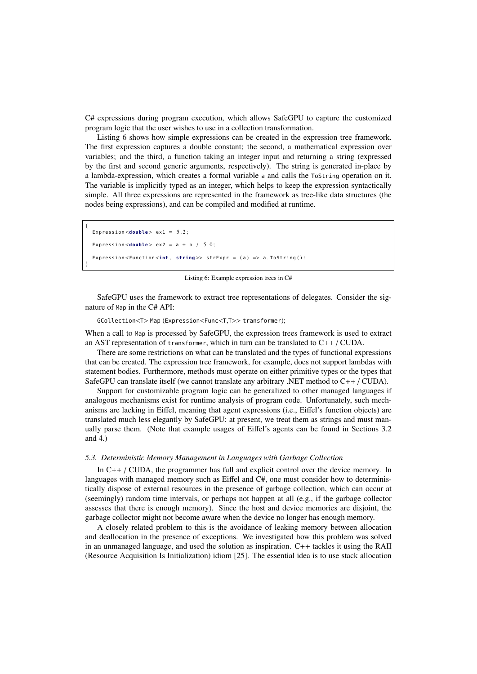C# expressions during program execution, which allows SafeGPU to capture the customized program logic that the user wishes to use in a collection transformation.

Listing 6 shows how simple expressions can be created in the expression tree framework. The first expression captures a double constant; the second, a mathematical expression over variables; and the third, a function taking an integer input and returning a string (expressed by the first and second generic arguments, respectively). The string is generated in-place by a lambda-expression, which creates a formal variable a and calls the ToString operation on it. The variable is implicitly typed as an integer, which helps to keep the expression syntactically simple. All three expressions are represented in the framework as tree-like data structures (the nodes being expressions), and can be compiled and modified at runtime.

```
{
 Expression \lt double \gt ex1 = 5.2;
 Expression <double> ex2 = a + b / 5.0;
 Expression <Function <int, string >> strExpr = (a) = > a. ToString();
}
```
Listing 6: Example expression trees in C#

SafeGPU uses the framework to extract tree representations of delegates. Consider the signature of Map in the C# API:

GCollection<T> Map (Expression<Func<T,T>> transformer);

When a call to Map is processed by SafeGPU, the expression trees framework is used to extract an AST representation of transformer, which in turn can be translated to  $C++/$  CUDA.

There are some restrictions on what can be translated and the types of functional expressions that can be created. The expression tree framework, for example, does not support lambdas with statement bodies. Furthermore, methods must operate on either primitive types or the types that SafeGPU can translate itself (we cannot translate any arbitrary .NET method to C++ / CUDA).

Support for customizable program logic can be generalized to other managed languages if analogous mechanisms exist for runtime analysis of program code. Unfortunately, such mechanisms are lacking in Eiffel, meaning that agent expressions (i.e., Eiffel's function objects) are translated much less elegantly by SafeGPU: at present, we treat them as strings and must manually parse them. (Note that example usages of Eiffel's agents can be found in Sections 3.2 and 4.)

#### *5.3. Deterministic Memory Management in Languages with Garbage Collection*

In C++ / CUDA, the programmer has full and explicit control over the device memory. In languages with managed memory such as Eiffel and C#, one must consider how to deterministically dispose of external resources in the presence of garbage collection, which can occur at (seemingly) random time intervals, or perhaps not happen at all (e.g., if the garbage collector assesses that there is enough memory). Since the host and device memories are disjoint, the garbage collector might not become aware when the device no longer has enough memory.

A closely related problem to this is the avoidance of leaking memory between allocation and deallocation in the presence of exceptions. We investigated how this problem was solved in an unmanaged language, and used the solution as inspiration. C++ tackles it using the RAII (Resource Acquisition Is Initialization) idiom [25]. The essential idea is to use stack allocation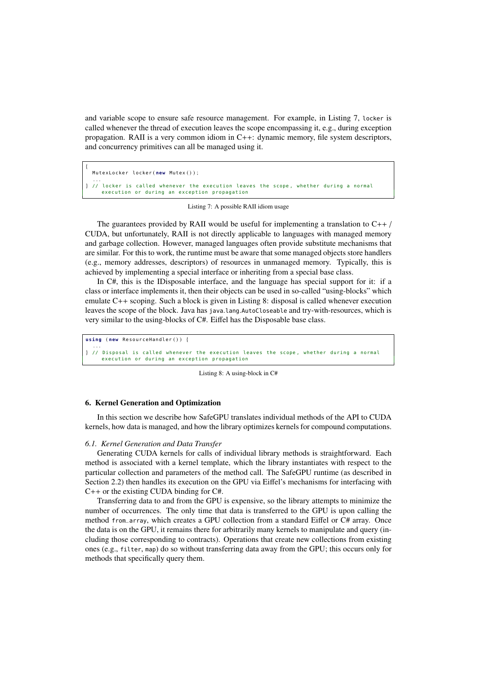and variable scope to ensure safe resource management. For example, in Listing 7, locker is called whenever the thread of execution leaves the scope encompassing it, e.g., during exception propagation. RAII is a very common idiom in C++: dynamic memory, file system descriptors, and concurrency primitives can all be managed using it.

```
{
 MutexLocker locker (new Mutex ()):
  . . .
} // locker is called whenever the execution leaves the scope, whether during a normal
    execution or during an exception propagation
```
Listing 7: A possible RAII idiom usage

The guarantees provided by RAII would be useful for implementing a translation to  $C++/$ CUDA, but unfortunately, RAII is not directly applicable to languages with managed memory and garbage collection. However, managed languages often provide substitute mechanisms that are similar. For this to work, the runtime must be aware that some managed objects store handlers (e.g., memory addresses, descriptors) of resources in unmanaged memory. Typically, this is achieved by implementing a special interface or inheriting from a special base class.

In C#, this is the IDisposable interface, and the language has special support for it: if a class or interface implements it, then their objects can be used in so-called "using-blocks" which emulate C++ scoping. Such a block is given in Listing 8: disposal is called whenever execution leaves the scope of the block. Java has java.lang.AutoCloseable and try-with-resources, which is very similar to the using-blocks of C#. Eiffel has the Disposable base class.

```
using (new ResourceHandler()) {
  . . .
} // Disposal is called whenever the execution leaves the scope, whether during a normal
    execution or during an exception propagation
```
Listing 8: A using-block in C#

### 6. Kernel Generation and Optimization

In this section we describe how SafeGPU translates individual methods of the API to CUDA kernels, how data is managed, and how the library optimizes kernels for compound computations.

# *6.1. Kernel Generation and Data Transfer*

Generating CUDA kernels for calls of individual library methods is straightforward. Each method is associated with a kernel template, which the library instantiates with respect to the particular collection and parameters of the method call. The SafeGPU runtime (as described in Section 2.2) then handles its execution on the GPU via Eiffel's mechanisms for interfacing with C++ or the existing CUDA binding for C#.

Transferring data to and from the GPU is expensive, so the library attempts to minimize the number of occurrences. The only time that data is transferred to the GPU is upon calling the method from\_array, which creates a GPU collection from a standard Eiffel or C# array. Once the data is on the GPU, it remains there for arbitrarily many kernels to manipulate and query (including those corresponding to contracts). Operations that create new collections from existing ones (e.g., filter, map) do so without transferring data away from the GPU; this occurs only for methods that specifically query them.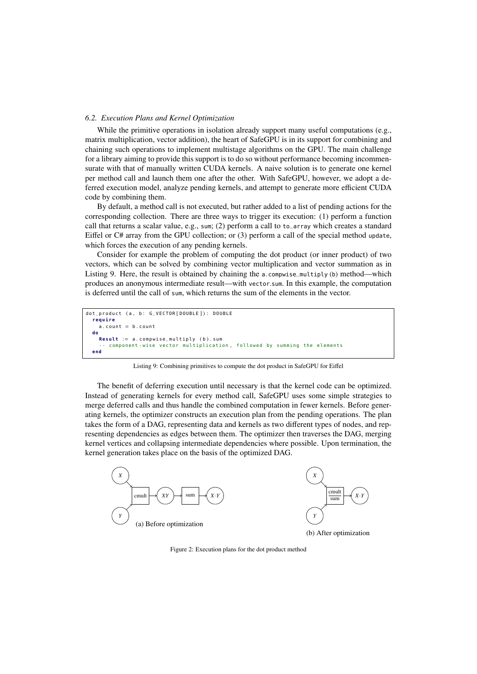### *6.2. Execution Plans and Kernel Optimization*

While the primitive operations in isolation already support many useful computations (e.g., matrix multiplication, vector addition), the heart of SafeGPU is in its support for combining and chaining such operations to implement multistage algorithms on the GPU. The main challenge for a library aiming to provide this support is to do so without performance becoming incommensurate with that of manually written CUDA kernels. A naive solution is to generate one kernel per method call and launch them one after the other. With SafeGPU, however, we adopt a deferred execution model, analyze pending kernels, and attempt to generate more efficient CUDA code by combining them.

By default, a method call is not executed, but rather added to a list of pending actions for the corresponding collection. There are three ways to trigger its execution: (1) perform a function call that returns a scalar value, e.g., sum; (2) perform a call to to\_array which creates a standard Eiffel or C# array from the GPU collection; or (3) perform a call of the special method update, which forces the execution of any pending kernels.

Consider for example the problem of computing the dot product (or inner product) of two vectors, which can be solved by combining vector multiplication and vector summation as in Listing 9. Here, the result is obtained by chaining the a.compwise\_multiply (b) method—which produces an anonymous intermediate result—with vector.sum. In this example, the computation is deferred until the call of sum, which returns the sum of the elements in the vector.

```
dot_product (a, b: G_VECTOR[DOUBLE]): DOUBLE
 r e q u i r e
   a. count = b. countdo
    Result := a. compwise_multiply (b). sum
       component - wise vector multiplication, followed by summing the elements
 end
```
Listing 9: Combining primitives to compute the dot product in SafeGPU for Eiffel

The benefit of deferring execution until necessary is that the kernel code can be optimized. Instead of generating kernels for every method call, SafeGPU uses some simple strategies to merge deferred calls and thus handle the combined computation in fewer kernels. Before generating kernels, the optimizer constructs an execution plan from the pending operations. The plan takes the form of a DAG, representing data and kernels as two different types of nodes, and representing dependencies as edges between them. The optimizer then traverses the DAG, merging kernel vertices and collapsing intermediate dependencies where possible. Upon termination, the kernel generation takes place on the basis of the optimized DAG.



Figure 2: Execution plans for the dot product method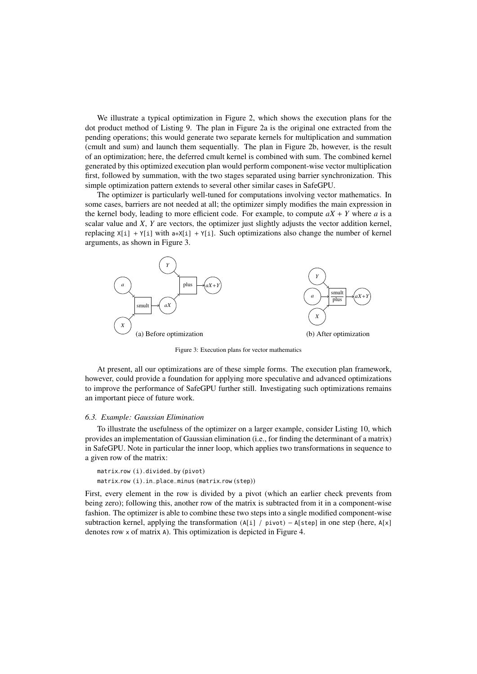We illustrate a typical optimization in Figure 2, which shows the execution plans for the dot product method of Listing 9. The plan in Figure 2a is the original one extracted from the pending operations; this would generate two separate kernels for multiplication and summation (cmult and sum) and launch them sequentially. The plan in Figure 2b, however, is the result of an optimization; here, the deferred cmult kernel is combined with sum. The combined kernel generated by this optimized execution plan would perform component-wise vector multiplication first, followed by summation, with the two stages separated using barrier synchronization. This simple optimization pattern extends to several other similar cases in SafeGPU.

The optimizer is particularly well-tuned for computations involving vector mathematics. In some cases, barriers are not needed at all; the optimizer simply modifies the main expression in the kernel body, leading to more efficient code. For example, to compute  $aX + Y$  where  $a$  is a scalar value and *X*, *Y* are vectors, the optimizer just slightly adjusts the vector addition kernel, replacing  $x[i] + Y[i]$  with  $a*X[i] + Y[i]$ . Such optimizations also change the number of kernel arguments, as shown in Figure 3.



Figure 3: Execution plans for vector mathematics

At present, all our optimizations are of these simple forms. The execution plan framework, however, could provide a foundation for applying more speculative and advanced optimizations to improve the performance of SafeGPU further still. Investigating such optimizations remains an important piece of future work.

#### *6.3. Example: Gaussian Elimination*

To illustrate the usefulness of the optimizer on a larger example, consider Listing 10, which provides an implementation of Gaussian elimination (i.e., for finding the determinant of a matrix) in SafeGPU. Note in particular the inner loop, which applies two transformations in sequence to a given row of the matrix:

```
matrix.row (i) .divided_by (pivot)
matrix.row (i) .in_place_minus (matrix.row (step))
```
First, every element in the row is divided by a pivot (which an earlier check prevents from being zero); following this, another row of the matrix is subtracted from it in a component-wise fashion. The optimizer is able to combine these two steps into a single modified component-wise subtraction kernel, applying the transformation  $(A[i] / \text{pivot}) - A[step]$  in one step (here,  $A[x]$ ) denotes row x of matrix A). This optimization is depicted in Figure 4.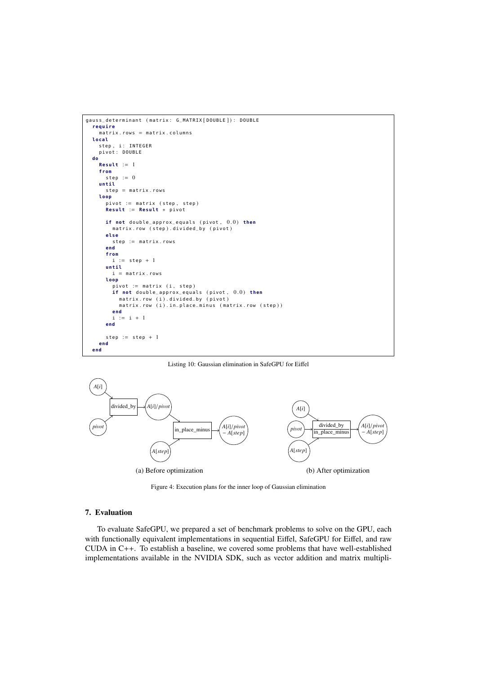```
gauss_determinant (matrix: G_MATRIX[DOUBLE]): DOUBLE
  r e q u i r e
    .<br>matrix.rows = matrix.columns
  local
    step, i: INTEGER
    pivot : DOUBLE
  do
    Result := 1
    from
      step := 0until
      step = matrix . rows
    loop
      pivot := matrix (step, step)Result := Result *
pivot
      if not double_approx_equals (pivot, 0.0) then
        matrix. row (step). divided_by (pivot)else
        step := matrix.rows
      end
      from
        i := step + 1until
        i = matrix . rows
      loop
         pivot := matrix (i, step)<br>if not double_approx_equals (pivot, 0.0) then
           matrix. row (i). divided_by (pivot)matrix. row (i).in_\texttt{place\_minus} (matrix. row (step))end
        i := i + 1end
      step := step + 1end
  end
```
Listing 10: Gaussian elimination in SafeGPU for Eiffel



Figure 4: Execution plans for the inner loop of Gaussian elimination

# 7. Evaluation

To evaluate SafeGPU, we prepared a set of benchmark problems to solve on the GPU, each with functionally equivalent implementations in sequential Eiffel, SafeGPU for Eiffel, and raw CUDA in C++. To establish a baseline, we covered some problems that have well-established implementations available in the NVIDIA SDK, such as vector addition and matrix multipli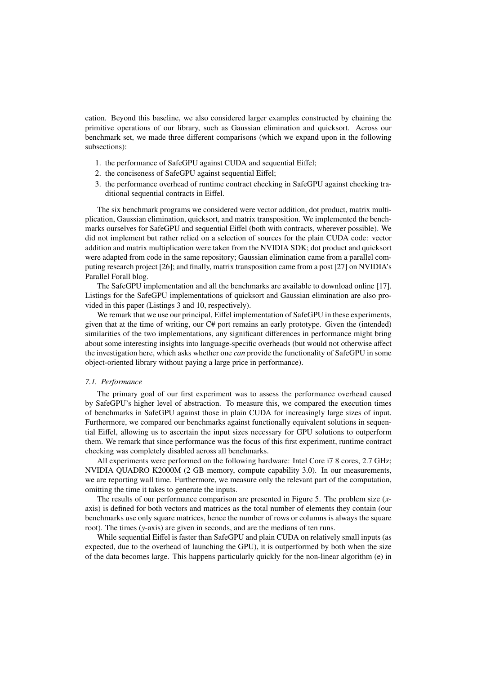cation. Beyond this baseline, we also considered larger examples constructed by chaining the primitive operations of our library, such as Gaussian elimination and quicksort. Across our benchmark set, we made three different comparisons (which we expand upon in the following subsections):

- 1. the performance of SafeGPU against CUDA and sequential Eiffel;
- 2. the conciseness of SafeGPU against sequential Eiffel;
- 3. the performance overhead of runtime contract checking in SafeGPU against checking traditional sequential contracts in Eiffel.

The six benchmark programs we considered were vector addition, dot product, matrix multiplication, Gaussian elimination, quicksort, and matrix transposition. We implemented the benchmarks ourselves for SafeGPU and sequential Eiffel (both with contracts, wherever possible). We did not implement but rather relied on a selection of sources for the plain CUDA code: vector addition and matrix multiplication were taken from the NVIDIA SDK; dot product and quicksort were adapted from code in the same repository; Gaussian elimination came from a parallel computing research project [26]; and finally, matrix transposition came from a post [27] on NVIDIA's Parallel Forall blog.

The SafeGPU implementation and all the benchmarks are available to download online [17]. Listings for the SafeGPU implementations of quicksort and Gaussian elimination are also provided in this paper (Listings 3 and 10, respectively).

We remark that we use our principal, Eiffel implementation of SafeGPU in these experiments, given that at the time of writing, our C# port remains an early prototype. Given the (intended) similarities of the two implementations, any significant differences in performance might bring about some interesting insights into language-specific overheads (but would not otherwise affect the investigation here, which asks whether one *can* provide the functionality of SafeGPU in some object-oriented library without paying a large price in performance).

# *7.1. Performance*

The primary goal of our first experiment was to assess the performance overhead caused by SafeGPU's higher level of abstraction. To measure this, we compared the execution times of benchmarks in SafeGPU against those in plain CUDA for increasingly large sizes of input. Furthermore, we compared our benchmarks against functionally equivalent solutions in sequential Eiffel, allowing us to ascertain the input sizes necessary for GPU solutions to outperform them. We remark that since performance was the focus of this first experiment, runtime contract checking was completely disabled across all benchmarks.

All experiments were performed on the following hardware: Intel Core i7 8 cores, 2.7 GHz; NVIDIA QUADRO K2000M (2 GB memory, compute capability 3.0). In our measurements, we are reporting wall time. Furthermore, we measure only the relevant part of the computation, omitting the time it takes to generate the inputs.

The results of our performance comparison are presented in Figure 5. The problem size (*x*axis) is defined for both vectors and matrices as the total number of elements they contain (our benchmarks use only square matrices, hence the number of rows or columns is always the square root). The times (*y*-axis) are given in seconds, and are the medians of ten runs.

While sequential Eiffel is faster than SafeGPU and plain CUDA on relatively small inputs (as expected, due to the overhead of launching the GPU), it is outperformed by both when the size of the data becomes large. This happens particularly quickly for the non-linear algorithm (e) in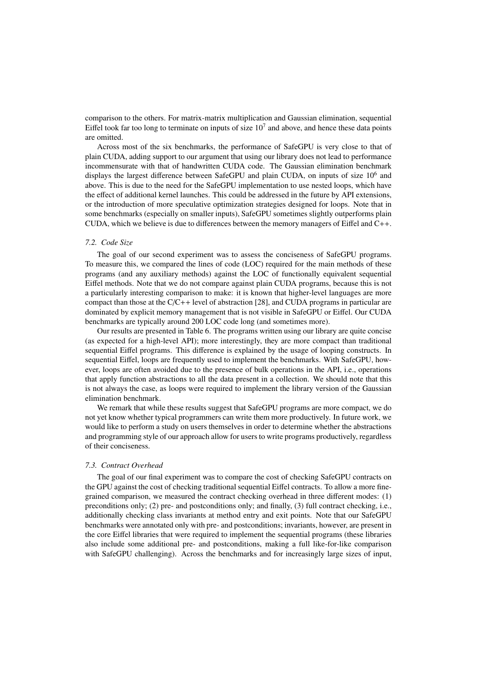comparison to the others. For matrix-matrix multiplication and Gaussian elimination, sequential Eiffel took far too long to terminate on inputs of size  $10<sup>7</sup>$  and above, and hence these data points are omitted.

Across most of the six benchmarks, the performance of SafeGPU is very close to that of plain CUDA, adding support to our argument that using our library does not lead to performance incommensurate with that of handwritten CUDA code. The Gaussian elimination benchmark displays the largest difference between SafeGPU and plain CUDA, on inputs of size 10<sup>6</sup> and above. This is due to the need for the SafeGPU implementation to use nested loops, which have the effect of additional kernel launches. This could be addressed in the future by API extensions, or the introduction of more speculative optimization strategies designed for loops. Note that in some benchmarks (especially on smaller inputs), SafeGPU sometimes slightly outperforms plain CUDA, which we believe is due to differences between the memory managers of Eiffel and C++.

## *7.2. Code Size*

The goal of our second experiment was to assess the conciseness of SafeGPU programs. To measure this, we compared the lines of code (LOC) required for the main methods of these programs (and any auxiliary methods) against the LOC of functionally equivalent sequential Eiffel methods. Note that we do not compare against plain CUDA programs, because this is not a particularly interesting comparison to make: it is known that higher-level languages are more compact than those at the C/C++ level of abstraction [28], and CUDA programs in particular are dominated by explicit memory management that is not visible in SafeGPU or Eiffel. Our CUDA benchmarks are typically around 200 LOC code long (and sometimes more).

Our results are presented in Table 6. The programs written using our library are quite concise (as expected for a high-level API); more interestingly, they are more compact than traditional sequential Eiffel programs. This difference is explained by the usage of looping constructs. In sequential Eiffel, loops are frequently used to implement the benchmarks. With SafeGPU, however, loops are often avoided due to the presence of bulk operations in the API, i.e., operations that apply function abstractions to all the data present in a collection. We should note that this is not always the case, as loops were required to implement the library version of the Gaussian elimination benchmark.

We remark that while these results suggest that SafeGPU programs are more compact, we do not yet know whether typical programmers can write them more productively. In future work, we would like to perform a study on users themselves in order to determine whether the abstractions and programming style of our approach allow for users to write programs productively, regardless of their conciseness.

# *7.3. Contract Overhead*

The goal of our final experiment was to compare the cost of checking SafeGPU contracts on the GPU against the cost of checking traditional sequential Eiffel contracts. To allow a more finegrained comparison, we measured the contract checking overhead in three different modes: (1) preconditions only; (2) pre- and postconditions only; and finally, (3) full contract checking, i.e., additionally checking class invariants at method entry and exit points. Note that our SafeGPU benchmarks were annotated only with pre- and postconditions; invariants, however, are present in the core Eiffel libraries that were required to implement the sequential programs (these libraries also include some additional pre- and postconditions, making a full like-for-like comparison with SafeGPU challenging). Across the benchmarks and for increasingly large sizes of input,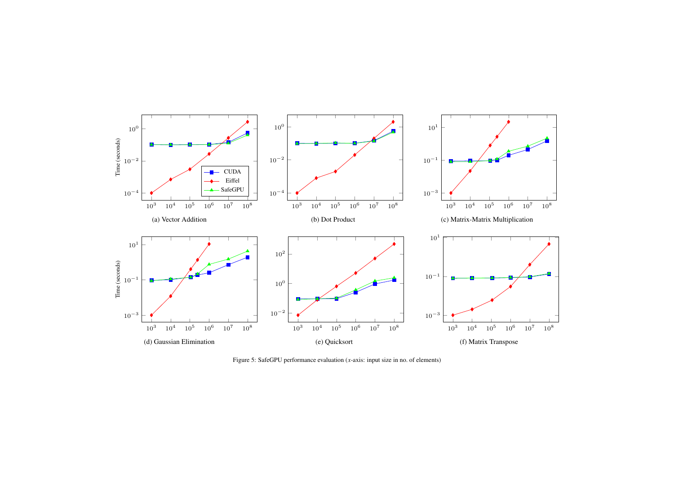

Figure 5: SafeGPU performance evaluation  $(x$ -axis: input size in no. of elements) Figure 5: SafeGPU performance evaluation (*x*-axis: input size in no. of elements)<br>
SafeGPU performance evaluation (*x*-axis: input size in no. of elements)<br>
SafeGPU performance evaluation (*x*-axis: input size in no. of e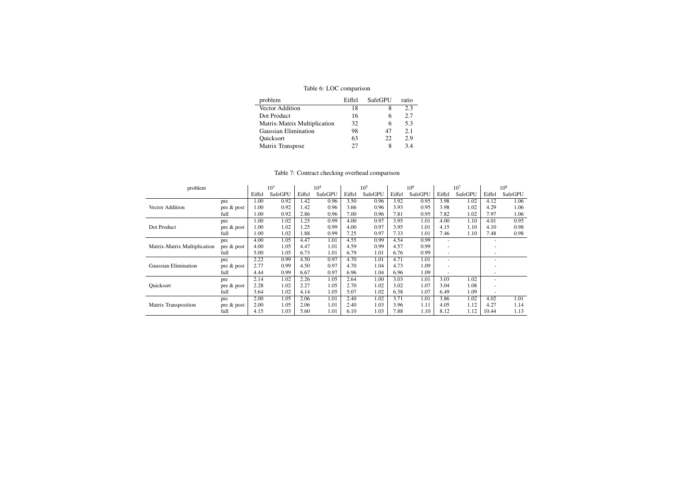# Table 6: LOC comparison

| problem                      | Eiffel | SafeGPU | ratio |
|------------------------------|--------|---------|-------|
| Vector Addition              | 18     | 8       | 2.3   |
| Dot Product                  | 16     | 6       | 2.7   |
| Matrix-Matrix Multiplication | 32     | 6       | 53    |
| <b>Gaussian Elimination</b>  | 98     | 47      | 2.1   |
| <b>Ouicksort</b>             | 63     | 22      | 2.9   |
| Matrix Transpose             | 27     | 8       | 34    |

# Table 7: Contract checking overhead comparison

| problem                      |              | $10^{3}$ |         |        | 10 <sup>4</sup> |        | $10^{5}$<br>$10^{6}$ |        |                   | $10^{7}$                 |         | $10^{8}$                 |         |
|------------------------------|--------------|----------|---------|--------|-----------------|--------|----------------------|--------|-------------------|--------------------------|---------|--------------------------|---------|
|                              |              | Eiffel   | SafeGPU | Eiffel | SafeGPU         | Eiffel | SafeGPU              | Eiffel | SafeGPU           | Eiffel                   | SafeGPU | Eiffel                   | SafeGPU |
| Vector Addition              | pre          | 1.00     | 0.92    | 1.42   | 0.96            | 3.50   | 0.96                 | 3.92   | 0.95              | 3.98                     | 1.02    | 4.12                     | 1.06    |
|                              | $pre &$ post | .00      | 0.92    | 1.42   | 0.96            | 3.66   | 0.96                 | 3.93   | 0.95              | 3.98                     | 1.02    | 4.29                     | 1.06    |
|                              | full         | .00      | 0.92    | 2.86   | 0.96            | 7.00   | 0.96                 | 7.81   | 0.95              | 7.82                     | 1.02    | 7.97                     | 1.06    |
| Dot Product                  | pre          | 1.00     | 1.02    | 1.25   | 0.99            | 4.00   | 0.97                 | 3.95   | $1.\overline{01}$ | 4.00                     | 1.10    | 4.01                     | 0.95    |
|                              | $pre &$ post | .00      | 1.02    | 1.25   | 0.99            | 4.00   | 0.97                 | 3.95   | 1.01              | 4.15                     | 1.10    | 4.10                     | 0.98    |
|                              | full         | .00      | 1.02    | 1.88   | 0.99            | 7.25   | 0.97                 | 7.33   | 1.01              | 7.46                     | 1.10    | 7.48                     | 0.98    |
| Matrix-Matrix Multiplication | pre          | 4.00     | 1.05    | 4.47   | 1.01            | 4.55   | 0.99                 | 4.54   | 0.99              | $\overline{\phantom{a}}$ |         | $\overline{\phantom{a}}$ |         |
|                              | $pre &$ post | 4.00     | 1.05    | 4.47   | 1.01            | 4.59   | 0.99                 | 4.57   | 0.99              | $\overline{\phantom{a}}$ |         |                          |         |
|                              | full         | 5.00     | 1.05    | 6.73   | 1.01            | 6.79   | 1.01                 | 6.76   | 0.99              | ٠                        |         |                          |         |
| <b>Gaussian Elimination</b>  | pre          | 2.22     | 0.99    | 4.50   | 0.97            | 4.70   | 1.01                 | 4.71   | 1.01              | $\overline{\phantom{a}}$ |         |                          |         |
|                              | $pre &$ post | 2.77     | 0.99    | 4.50   | 0.97            | 4.70   | 1.04                 | 4.73   | 1.09              | $\overline{\phantom{a}}$ |         | -                        |         |
|                              | full         | 4.44     | 0.99    | 6.67   | 0.97            | 6.96   | 1.04                 | 6.96   | 1.09              | $\overline{\phantom{a}}$ |         | $\overline{\phantom{a}}$ |         |
| pre<br>Quicksort<br>full     |              | 2.14     | 1.02    | 2.26   | 1.05            | 2.64   | 1.00                 | 3.03   | 1.01              | 3.03                     | 1.02    | ٠                        |         |
|                              | $pre &$ post | 2.28     | 1.02    | 2.27   | 1.05            | 2.70   | 1.02                 | 3.02   | 1.07              | 3.04                     | 1.08    |                          |         |
|                              |              | 3.64     | 1.02    | 4.14   | 1.05            | 5.07   | 1.02                 | 6.38   | 1.07              | 6.49                     | 1.09    |                          |         |
| Matrix Transposition         | pre          | 2.00     | 1.05    | 2.06   | 1.01            | 2.40   | 1.02                 | 3.71   | 1.01              | 3.86                     | 1.02    | 4.02                     | 1.01    |
|                              | $pre &$ post | 2.00     | 1.05    | 2.06   | 1.01            | 2.40   | 1.03                 | 3.96   | 1.11              | 4.05                     | 1.12    | 4.27                     | 1.14    |
|                              | full         | 4.15     | 1.03    | 5.60   | 1.01            | 6.10   | 1.03                 | 7.88   | 1.10              | 8.12                     | 1.12    | 10.44                    | 1.13    |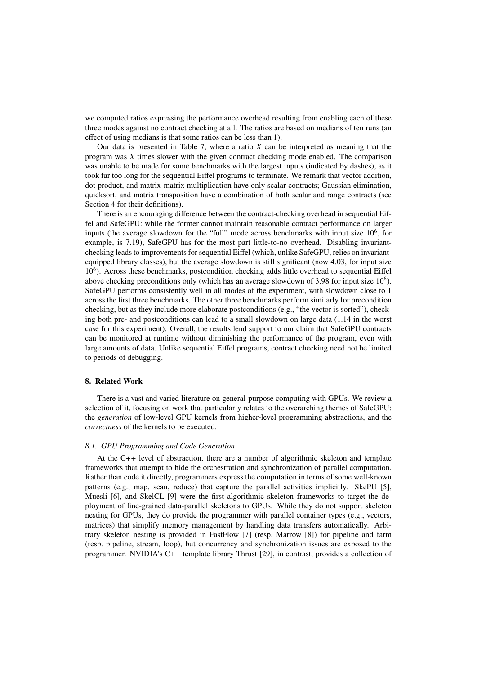we computed ratios expressing the performance overhead resulting from enabling each of these three modes against no contract checking at all. The ratios are based on medians of ten runs (an effect of using medians is that some ratios can be less than 1).

Our data is presented in Table 7, where a ratio *X* can be interpreted as meaning that the program was *X* times slower with the given contract checking mode enabled. The comparison was unable to be made for some benchmarks with the largest inputs (indicated by dashes), as it took far too long for the sequential Eiffel programs to terminate. We remark that vector addition, dot product, and matrix-matrix multiplication have only scalar contracts; Gaussian elimination, quicksort, and matrix transposition have a combination of both scalar and range contracts (see Section 4 for their definitions).

There is an encouraging difference between the contract-checking overhead in sequential Eiffel and SafeGPU: while the former cannot maintain reasonable contract performance on larger inputs (the average slowdown for the "full" mode across benchmarks with input size  $10<sup>6</sup>$ , for example, is 7.19), SafeGPU has for the most part little-to-no overhead. Disabling invariantchecking leads to improvements for sequential Eiffel (which, unlike SafeGPU, relies on invariantequipped library classes), but the average slowdown is still significant (now 4.03, for input size 10<sup>6</sup>). Across these benchmarks, postcondition checking adds little overhead to sequential Eiffel above checking preconditions only (which has an average slowdown of 3.98 for input size 10<sup>6</sup>).<br>SafeGPLI performs consistently well in all modes of the experiment, with slowdown close to 1 SafeGPU performs consistently well in all modes of the experiment, with slowdown close to 1 across the first three benchmarks. The other three benchmarks perform similarly for precondition checking, but as they include more elaborate postconditions (e.g., "the vector is sorted"), checking both pre- and postconditions can lead to a small slowdown on large data (1.14 in the worst case for this experiment). Overall, the results lend support to our claim that SafeGPU contracts can be monitored at runtime without diminishing the performance of the program, even with large amounts of data. Unlike sequential Eiffel programs, contract checking need not be limited to periods of debugging.

# 8. Related Work

There is a vast and varied literature on general-purpose computing with GPUs. We review a selection of it, focusing on work that particularly relates to the overarching themes of SafeGPU: the *generation* of low-level GPU kernels from higher-level programming abstractions, and the *correctness* of the kernels to be executed.

#### *8.1. GPU Programming and Code Generation*

At the C++ level of abstraction, there are a number of algorithmic skeleton and template frameworks that attempt to hide the orchestration and synchronization of parallel computation. Rather than code it directly, programmers express the computation in terms of some well-known patterns (e.g., map, scan, reduce) that capture the parallel activities implicitly. SkePU [5], Muesli [6], and SkelCL [9] were the first algorithmic skeleton frameworks to target the deployment of fine-grained data-parallel skeletons to GPUs. While they do not support skeleton nesting for GPUs, they do provide the programmer with parallel container types (e.g., vectors, matrices) that simplify memory management by handling data transfers automatically. Arbitrary skeleton nesting is provided in FastFlow [7] (resp. Marrow [8]) for pipeline and farm (resp. pipeline, stream, loop), but concurrency and synchronization issues are exposed to the programmer. NVIDIA's C++ template library Thrust [29], in contrast, provides a collection of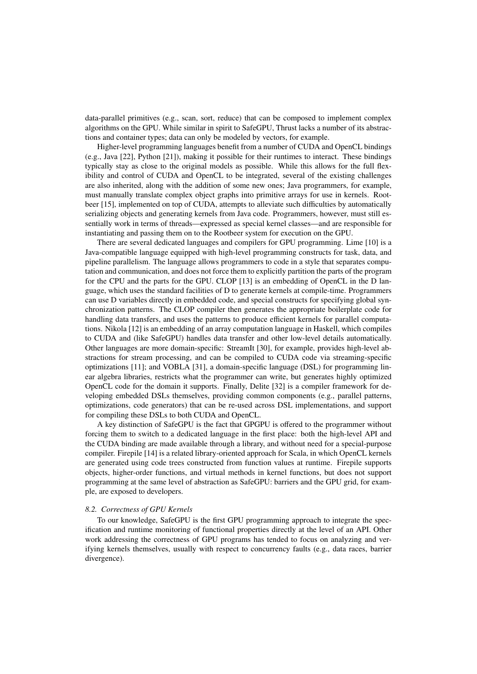data-parallel primitives (e.g., scan, sort, reduce) that can be composed to implement complex algorithms on the GPU. While similar in spirit to SafeGPU, Thrust lacks a number of its abstractions and container types; data can only be modeled by vectors, for example.

Higher-level programming languages benefit from a number of CUDA and OpenCL bindings (e.g., Java [22], Python [21]), making it possible for their runtimes to interact. These bindings typically stay as close to the original models as possible. While this allows for the full flexibility and control of CUDA and OpenCL to be integrated, several of the existing challenges are also inherited, along with the addition of some new ones; Java programmers, for example, must manually translate complex object graphs into primitive arrays for use in kernels. Rootbeer [15], implemented on top of CUDA, attempts to alleviate such difficulties by automatically serializing objects and generating kernels from Java code. Programmers, however, must still essentially work in terms of threads—expressed as special kernel classes—and are responsible for instantiating and passing them on to the Rootbeer system for execution on the GPU.

There are several dedicated languages and compilers for GPU programming. Lime [10] is a Java-compatible language equipped with high-level programming constructs for task, data, and pipeline parallelism. The language allows programmers to code in a style that separates computation and communication, and does not force them to explicitly partition the parts of the program for the CPU and the parts for the GPU. CLOP [13] is an embedding of OpenCL in the D language, which uses the standard facilities of D to generate kernels at compile-time. Programmers can use D variables directly in embedded code, and special constructs for specifying global synchronization patterns. The CLOP compiler then generates the appropriate boilerplate code for handling data transfers, and uses the patterns to produce efficient kernels for parallel computations. Nikola [12] is an embedding of an array computation language in Haskell, which compiles to CUDA and (like SafeGPU) handles data transfer and other low-level details automatically. Other languages are more domain-specific: StreamIt [30], for example, provides high-level abstractions for stream processing, and can be compiled to CUDA code via streaming-specific optimizations [11]; and VOBLA [31], a domain-specific language (DSL) for programming linear algebra libraries, restricts what the programmer can write, but generates highly optimized OpenCL code for the domain it supports. Finally, Delite [32] is a compiler framework for developing embedded DSLs themselves, providing common components (e.g., parallel patterns, optimizations, code generators) that can be re-used across DSL implementations, and support for compiling these DSLs to both CUDA and OpenCL.

A key distinction of SafeGPU is the fact that GPGPU is offered to the programmer without forcing them to switch to a dedicated language in the first place: both the high-level API and the CUDA binding are made available through a library, and without need for a special-purpose compiler. Firepile [14] is a related library-oriented approach for Scala, in which OpenCL kernels are generated using code trees constructed from function values at runtime. Firepile supports objects, higher-order functions, and virtual methods in kernel functions, but does not support programming at the same level of abstraction as SafeGPU: barriers and the GPU grid, for example, are exposed to developers.

#### *8.2. Correctness of GPU Kernels*

To our knowledge, SafeGPU is the first GPU programming approach to integrate the specification and runtime monitoring of functional properties directly at the level of an API. Other work addressing the correctness of GPU programs has tended to focus on analyzing and verifying kernels themselves, usually with respect to concurrency faults (e.g., data races, barrier divergence).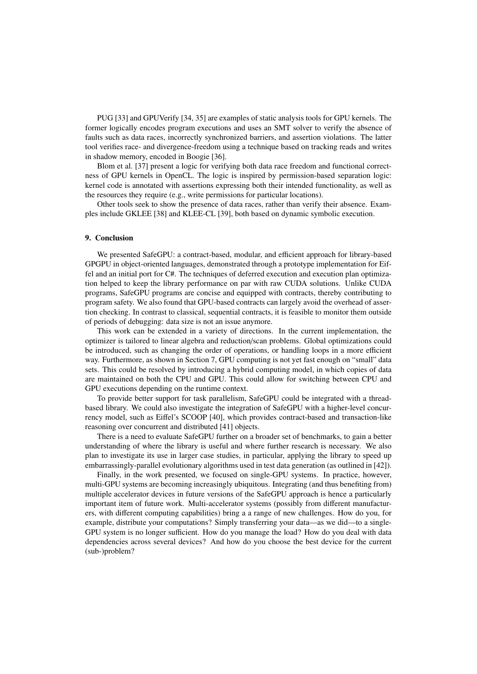PUG [33] and GPUVerify [34, 35] are examples of static analysis tools for GPU kernels. The former logically encodes program executions and uses an SMT solver to verify the absence of faults such as data races, incorrectly synchronized barriers, and assertion violations. The latter tool verifies race- and divergence-freedom using a technique based on tracking reads and writes in shadow memory, encoded in Boogie [36].

Blom et al. [37] present a logic for verifying both data race freedom and functional correctness of GPU kernels in OpenCL. The logic is inspired by permission-based separation logic: kernel code is annotated with assertions expressing both their intended functionality, as well as the resources they require (e.g., write permissions for particular locations).

Other tools seek to show the presence of data races, rather than verify their absence. Examples include GKLEE [38] and KLEE-CL [39], both based on dynamic symbolic execution.

#### 9. Conclusion

We presented SafeGPU: a contract-based, modular, and efficient approach for library-based GPGPU in object-oriented languages, demonstrated through a prototype implementation for Eiffel and an initial port for C#. The techniques of deferred execution and execution plan optimization helped to keep the library performance on par with raw CUDA solutions. Unlike CUDA programs, SafeGPU programs are concise and equipped with contracts, thereby contributing to program safety. We also found that GPU-based contracts can largely avoid the overhead of assertion checking. In contrast to classical, sequential contracts, it is feasible to monitor them outside of periods of debugging: data size is not an issue anymore.

This work can be extended in a variety of directions. In the current implementation, the optimizer is tailored to linear algebra and reduction/scan problems. Global optimizations could be introduced, such as changing the order of operations, or handling loops in a more efficient way. Furthermore, as shown in Section 7, GPU computing is not yet fast enough on "small" data sets. This could be resolved by introducing a hybrid computing model, in which copies of data are maintained on both the CPU and GPU. This could allow for switching between CPU and GPU executions depending on the runtime context.

To provide better support for task parallelism, SafeGPU could be integrated with a threadbased library. We could also investigate the integration of SafeGPU with a higher-level concurrency model, such as Eiffel's SCOOP [40], which provides contract-based and transaction-like reasoning over concurrent and distributed [41] objects.

There is a need to evaluate SafeGPU further on a broader set of benchmarks, to gain a better understanding of where the library is useful and where further research is necessary. We also plan to investigate its use in larger case studies, in particular, applying the library to speed up embarrassingly-parallel evolutionary algorithms used in test data generation (as outlined in [42]).

Finally, in the work presented, we focused on single-GPU systems. In practice, however, multi-GPU systems are becoming increasingly ubiquitous. Integrating (and thus benefiting from) multiple accelerator devices in future versions of the SafeGPU approach is hence a particularly important item of future work. Multi-accelerator systems (possibly from different manufacturers, with different computing capabilities) bring a a range of new challenges. How do you, for example, distribute your computations? Simply transferring your data—as we did—to a single-GPU system is no longer sufficient. How do you manage the load? How do you deal with data dependencies across several devices? And how do you choose the best device for the current (sub-)problem?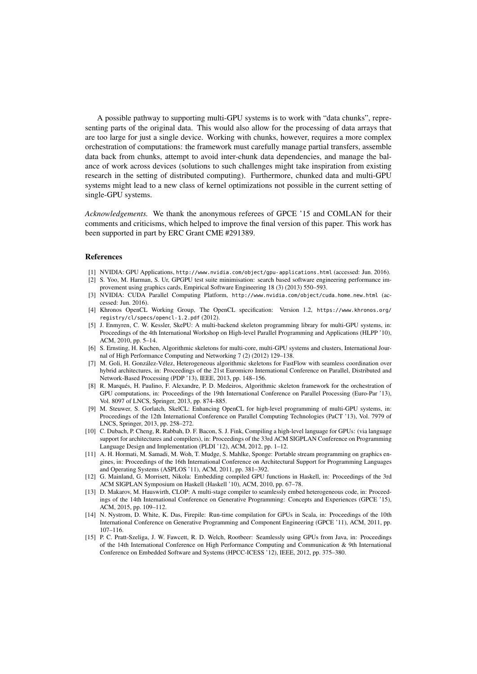A possible pathway to supporting multi-GPU systems is to work with "data chunks", representing parts of the original data. This would also allow for the processing of data arrays that are too large for just a single device. Working with chunks, however, requires a more complex orchestration of computations: the framework must carefully manage partial transfers, assemble data back from chunks, attempt to avoid inter-chunk data dependencies, and manage the balance of work across devices (solutions to such challenges might take inspiration from existing research in the setting of distributed computing). Furthermore, chunked data and multi-GPU systems might lead to a new class of kernel optimizations not possible in the current setting of single-GPU systems.

*Acknowledgements.* We thank the anonymous referees of GPCE '15 and COMLAN for their comments and criticisms, which helped to improve the final version of this paper. This work has been supported in part by ERC Grant CME #291389.

# References

- [1] NVIDIA: GPU Applications, http://www.nvidia.com/object/gpu-applications.html (accessed: Jun. 2016).
- [2] S. Yoo, M. Harman, S. Ur, GPGPU test suite minimisation: search based software engineering performance improvement using graphics cards, Empirical Software Engineering 18 (3) (2013) 550–593.
- [3] NVIDIA: CUDA Parallel Computing Platform, http://www.nvidia.com/object/cuda\_home\_new.html (accessed: Jun. 2016).
- [4] Khronos OpenCL Working Group, The OpenCL specification: Version 1.2, https://www.khronos.org/ registry/cl/specs/opencl-1.2.pdf (2012).
- [5] J. Enmyren, C. W. Kessler, SkePU: A multi-backend skeleton programming library for multi-GPU systems, in: Proceedings of the 4th International Workshop on High-level Parallel Programming and Applications (HLPP '10), ACM, 2010, pp. 5–14.
- [6] S. Ernsting, H. Kuchen, Algorithmic skeletons for multi-core, multi-GPU systems and clusters, International Journal of High Performance Computing and Networking 7 (2) (2012) 129–138.
- [7] M. Goli, H. González-Vélez, Heterogeneous algorithmic skeletons for FastFlow with seamless coordination over hybrid architectures, in: Proceedings of the 21st Euromicro International Conference on Parallel, Distributed and Network-Based Processing (PDP '13), IEEE, 2013, pp. 148–156.
- [8] R. Marqués, H. Paulino, F. Alexandre, P. D. Medeiros, Algorithmic skeleton framework for the orchestration of GPU computations, in: Proceedings of the 19th International Conference on Parallel Processing (Euro-Par '13), Vol. 8097 of LNCS, Springer, 2013, pp. 874–885.
- [9] M. Steuwer, S. Gorlatch, SkelCL: Enhancing OpenCL for high-level programming of multi-GPU systems, in: Proceedings of the 12th International Conference on Parallel Computing Technologies (PaCT '13), Vol. 7979 of LNCS, Springer, 2013, pp. 258–272.
- [10] C. Dubach, P. Cheng, R. Rabbah, D. F. Bacon, S. J. Fink, Compiling a high-level language for GPUs: (via language support for architectures and compilers), in: Proceedings of the 33rd ACM SIGPLAN Conference on Programming Language Design and Implementation (PLDI '12), ACM, 2012, pp. 1–12.
- [11] A. H. Hormati, M. Samadi, M. Woh, T. Mudge, S. Mahlke, Sponge: Portable stream programming on graphics engines, in: Proceedings of the 16th International Conference on Architectural Support for Programming Languages and Operating Systems (ASPLOS '11), ACM, 2011, pp. 381–392.
- [12] G. Mainland, G. Morrisett, Nikola: Embedding compiled GPU functions in Haskell, in: Proceedings of the 3rd ACM SIGPLAN Symposium on Haskell (Haskell '10), ACM, 2010, pp. 67–78.
- [13] D. Makarov, M. Hauswirth, CLOP: A multi-stage compiler to seamlessly embed heterogeneous code, in: Proceedings of the 14th International Conference on Generative Programming: Concepts and Experiences (GPCE '15), ACM, 2015, pp. 109–112.
- [14] N. Nystrom, D. White, K. Das, Firepile: Run-time compilation for GPUs in Scala, in: Proceedings of the 10th International Conference on Generative Programming and Component Engineering (GPCE '11), ACM, 2011, pp. 107–116.
- [15] P. C. Pratt-Szeliga, J. W. Fawcett, R. D. Welch, Rootbeer: Seamlessly using GPUs from Java, in: Proceedings of the 14th International Conference on High Performance Computing and Communication & 9th International Conference on Embedded Software and Systems (HPCC-ICESS '12), IEEE, 2012, pp. 375–380.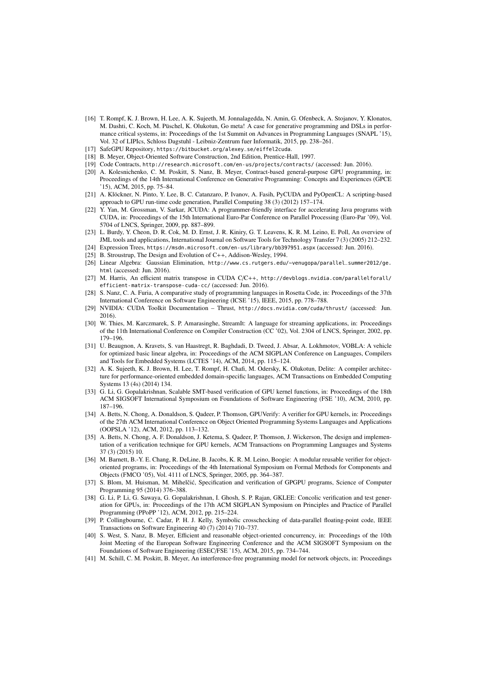- [16] T. Rompf, K. J. Brown, H. Lee, A. K. Sujeeth, M. Jonnalagedda, N. Amin, G. Ofenbeck, A. Stojanov, Y. Klonatos, M. Dashti, C. Koch, M. Püschel, K. Olukotun, Go meta! A case for generative programming and DSLs in performance critical systems, in: Proceedings of the 1st Summit on Advances in Programming Languages (SNAPL '15), Vol. 32 of LIPIcs, Schloss Dagstuhl - Leibniz-Zentrum fuer Informatik, 2015, pp. 238–261.
- [17] SafeGPU Repository, https://bitbucket.org/alexey\_se/eiffel2cuda.
- [18] B. Meyer, Object-Oriented Software Construction, 2nd Edition, Prentice-Hall, 1997.
- [19] Code Contracts, http://research.microsoft.com/en-us/projects/contracts/ (accessed: Jun. 2016).
- [20] A. Kolesnichenko, C. M. Poskitt, S. Nanz, B. Meyer, Contract-based general-purpose GPU programming, in: Proceedings of the 14th International Conference on Generative Programming: Concepts and Experiences (GPCE '15), ACM, 2015, pp. 75–84.
- [21] A. Klöckner, N. Pinto, Y. Lee, B. C. Catanzaro, P. Ivanov, A. Fasih, PyCUDA and PyOpenCL: A scripting-based approach to GPU run-time code generation, Parallel Computing 38 (3) (2012) 157–174.
- [22] Y. Yan, M. Grossman, V. Sarkar, JCUDA: A programmer-friendly interface for accelerating Java programs with CUDA, in: Proceedings of the 15th International Euro-Par Conference on Parallel Processing (Euro-Par '09), Vol. 5704 of LNCS, Springer, 2009, pp. 887–899.
- [23] L. Burdy, Y. Cheon, D. R. Cok, M. D. Ernst, J. R. Kiniry, G. T. Leavens, K. R. M. Leino, E. Poll, An overview of JML tools and applications, International Journal on Software Tools for Technology Transfer 7 (3) (2005) 212–232.
- [24] Expression Trees, https://msdn.microsoft.com/en-us/library/bb397951.aspx (accessed: Jun. 2016).
- [25] B. Stroustrup, The Design and Evolution of C++, Addison-Wesley, 1994.
- [26] Linear Algebra: Gaussian Elimination, http://www.cs.rutgers.edu/~venugopa/parallel\_summer2012/ge. html (accessed: Jun. 2016).
- [27] M. Harris, An efficient matrix transpose in CUDA C/C++, http://devblogs.nvidia.com/parallelforall/ efficient-matrix-transpose-cuda-cc/ (accessed: Jun. 2016).
- [28] S. Nanz, C. A. Furia, A comparative study of programming languages in Rosetta Code, in: Proceedings of the 37th International Conference on Software Engineering (ICSE '15), IEEE, 2015, pp. 778–788.
- [29] NVIDIA: CUDA Toolkit Documentation Thrust, http://docs.nvidia.com/cuda/thrust/ (accessed: Jun. 2016).
- [30] W. Thies, M. Karczmarek, S. P. Amarasinghe, StreamIt: A language for streaming applications, in: Proceedings of the 11th International Conference on Compiler Construction (CC '02), Vol. 2304 of LNCS, Springer, 2002, pp. 179–196.
- [31] U. Beaugnon, A. Kravets, S. van Haastregt, R. Baghdadi, D. Tweed, J. Absar, A. Lokhmotov, VOBLA: A vehicle for optimized basic linear algebra, in: Proceedings of the ACM SIGPLAN Conference on Languages, Compilers and Tools for Embedded Systems (LCTES '14), ACM, 2014, pp. 115–124.
- [32] A. K. Sujeeth, K. J. Brown, H. Lee, T. Rompf, H. Chafi, M. Odersky, K. Olukotun, Delite: A compiler architecture for performance-oriented embedded domain-specific languages, ACM Transactions on Embedded Computing Systems 13 (4s) (2014) 134.
- [33] G. Li, G. Gopalakrishnan, Scalable SMT-based verification of GPU kernel functions, in: Proceedings of the 18th ACM SIGSOFT International Symposium on Foundations of Software Engineering (FSE '10), ACM, 2010, pp. 187–196.
- [34] A. Betts, N. Chong, A. Donaldson, S. Qadeer, P. Thomson, GPUVerify: A verifier for GPU kernels, in: Proceedings of the 27th ACM International Conference on Object Oriented Programming Systems Languages and Applications (OOPSLA '12), ACM, 2012, pp. 113–132.
- [35] A. Betts, N. Chong, A. F. Donaldson, J. Ketema, S. Qadeer, P. Thomson, J. Wickerson, The design and implementation of a verification technique for GPU kernels, ACM Transactions on Programming Languages and Systems 37 (3) (2015) 10.
- [36] M. Barnett, B.-Y. E. Chang, R. DeLine, B. Jacobs, K. R. M. Leino, Boogie: A modular reusable verifier for objectoriented programs, in: Proceedings of the 4th International Symposium on Formal Methods for Components and Objects (FMCO '05), Vol. 4111 of LNCS, Springer, 2005, pp. 364–387.
- [37] S. Blom, M. Huisman, M. Mihelčić, Specification and verification of GPGPU programs, Science of Computer Programming 95 (2014) 376–388.
- [38] G. Li, P. Li, G. Sawaya, G. Gopalakrishnan, I. Ghosh, S. P. Rajan, GKLEE: Concolic verification and test generation for GPUs, in: Proceedings of the 17th ACM SIGPLAN Symposium on Principles and Practice of Parallel Programming (PPoPP '12), ACM, 2012, pp. 215–224.
- [39] P. Collingbourne, C. Cadar, P. H. J. Kelly, Symbolic crosschecking of data-parallel floating-point code, IEEE Transactions on Software Engineering 40 (7) (2014) 710–737.
- [40] S. West, S. Nanz, B. Meyer, Efficient and reasonable object-oriented concurrency, in: Proceedings of the 10th Joint Meeting of the European Software Engineering Conference and the ACM SIGSOFT Symposium on the Foundations of Software Engineering (ESEC/FSE '15), ACM, 2015, pp. 734–744.
- [41] M. Schill, C. M. Poskitt, B. Meyer, An interference-free programming model for network objects, in: Proceedings